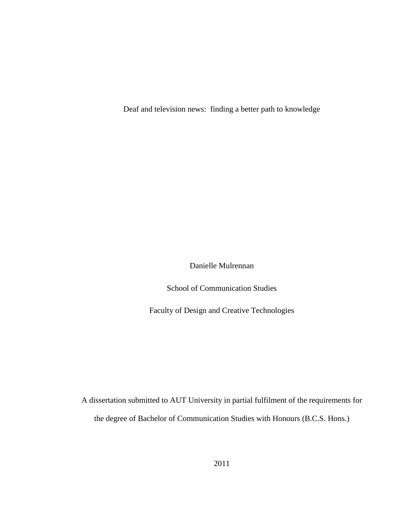Deaf and television news: finding a better path to knowledge

Danielle Mulrennan

School of Communication Studies

Faculty of Design and Creative Technologies

A dissertation submitted to AUT University in partial fulfilment of the requirements for the degree of Bachelor of Communication Studies with Honours (B.C.S. Hons.)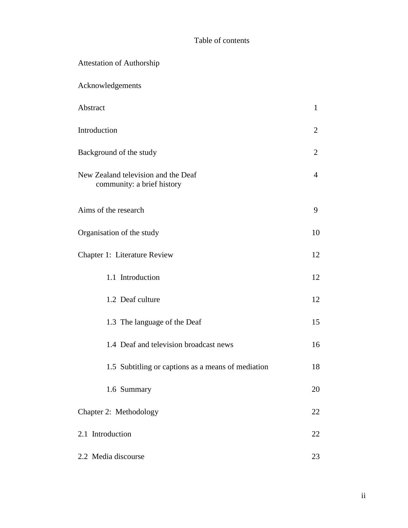# Table of contents

| <b>Attestation of Authorship</b>                                  |                |
|-------------------------------------------------------------------|----------------|
| Acknowledgements                                                  |                |
| Abstract                                                          | $\mathbf{1}$   |
| Introduction                                                      | 2              |
| Background of the study                                           | 2              |
| New Zealand television and the Deaf<br>community: a brief history | $\overline{4}$ |
| Aims of the research                                              | 9              |
| Organisation of the study                                         | 10             |
| Chapter 1: Literature Review                                      | 12             |
| 1.1 Introduction                                                  | 12             |
| 1.2 Deaf culture                                                  | 12             |
| 1.3 The language of the Deaf                                      | 15             |
| 1.4 Deaf and television broadcast news                            | 16             |
| 1.5 Subtitling or captions as a means of mediation                | 18             |
| 1.6 Summary                                                       | 20             |
| Chapter 2: Methodology                                            | 22             |
| 2.1 Introduction                                                  |                |
| 2.2 Media discourse                                               |                |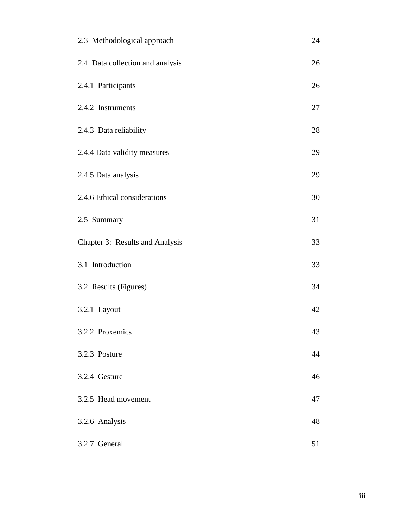| 2.3 Methodological approach      | 24 |
|----------------------------------|----|
| 2.4 Data collection and analysis | 26 |
| 2.4.1 Participants               | 26 |
| 2.4.2 Instruments                | 27 |
| 2.4.3 Data reliability           | 28 |
| 2.4.4 Data validity measures     | 29 |
| 2.4.5 Data analysis              | 29 |
| 2.4.6 Ethical considerations     | 30 |
| 2.5 Summary                      | 31 |
| Chapter 3: Results and Analysis  | 33 |
| 3.1 Introduction                 | 33 |
| 3.2 Results (Figures)            | 34 |
| 3.2.1 Layout                     | 42 |
| 3.2.2 Proxemics                  | 43 |
| 3.2.3 Posture                    | 44 |
| 3.2.4 Gesture                    | 46 |
| 3.2.5 Head movement              | 47 |
| 3.2.6 Analysis                   | 48 |
| 3.2.7 General                    | 51 |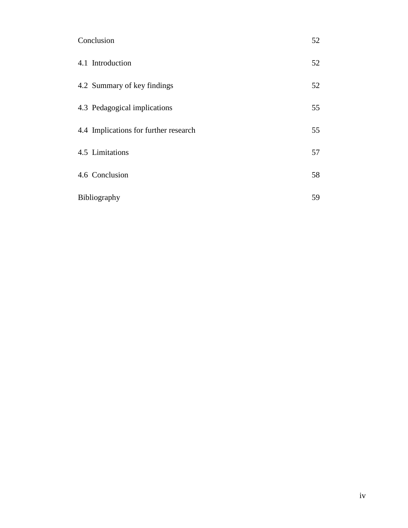| Conclusion                            |    |
|---------------------------------------|----|
| 4.1 Introduction                      | 52 |
| 4.2 Summary of key findings           | 52 |
| 4.3 Pedagogical implications          | 55 |
| 4.4 Implications for further research | 55 |
| 4.5 Limitations                       | 57 |
| 4.6 Conclusion                        | 58 |
| Bibliography                          | 59 |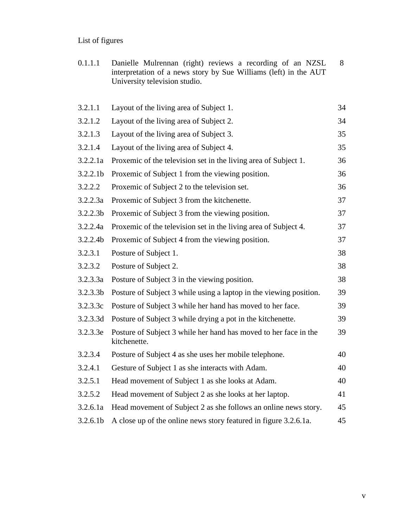# List of figures

0.1.1.1 Danielle Mulrennan (right) reviews a recording of an NZSL interpretation of a news story by Sue Williams (left) in the AUT University television studio. 8

| 3.2.1.1              | Layout of the living area of Subject 1.                                          | 34 |
|----------------------|----------------------------------------------------------------------------------|----|
| 3.2.1.2              | Layout of the living area of Subject 2.                                          | 34 |
| 3.2.1.3              | Layout of the living area of Subject 3.                                          | 35 |
| 3.2.1.4              | Layout of the living area of Subject 4.                                          | 35 |
| 3.2.2.1a             | Proxemic of the television set in the living area of Subject 1.                  | 36 |
| 3.2.2.1 <sub>b</sub> | Proxemic of Subject 1 from the viewing position.                                 | 36 |
| 3.2.2.2              | Proxemic of Subject 2 to the television set.                                     | 36 |
| 3.2.2.3a             | Proxemic of Subject 3 from the kitchenette.                                      | 37 |
| 3.2.2.3 <sub>b</sub> | Proxemic of Subject 3 from the viewing position.                                 | 37 |
| 3.2.2.4a             | Proxemic of the television set in the living area of Subject 4.                  | 37 |
| 3.2.2.4 <sub>b</sub> | Proxemic of Subject 4 from the viewing position.                                 | 37 |
| 3.2.3.1              | Posture of Subject 1.                                                            | 38 |
| 3.2.3.2              | Posture of Subject 2.                                                            | 38 |
| 3.2.3.3a             | Posture of Subject 3 in the viewing position.                                    | 38 |
| 3.2.3.3 <sub>b</sub> | Posture of Subject 3 while using a laptop in the viewing position.               | 39 |
| 3.2.3.3c             | Posture of Subject 3 while her hand has moved to her face.                       | 39 |
| 3.2.3.3d             | Posture of Subject 3 while drying a pot in the kitchenette.                      | 39 |
| 3.2.3.3e             | Posture of Subject 3 while her hand has moved to her face in the<br>kitchenette. | 39 |
| 3.2.3.4              | Posture of Subject 4 as she uses her mobile telephone.                           | 40 |
| 3.2.4.1              | Gesture of Subject 1 as she interacts with Adam.                                 | 40 |
| 3.2.5.1              | Head movement of Subject 1 as she looks at Adam.                                 | 40 |
| 3.2.5.2              | Head movement of Subject 2 as she looks at her laptop.                           | 41 |
| 3.2.6.1a             | Head movement of Subject 2 as she follows an online news story.                  | 45 |
| 3.2.6.1 <sub>b</sub> | A close up of the online news story featured in figure 3.2.6.1a.                 | 45 |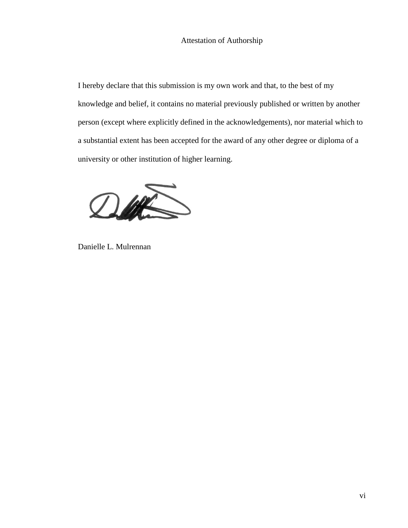I hereby declare that this submission is my own work and that, to the best of my knowledge and belief, it contains no material previously published or written by another person (except where explicitly defined in the acknowledgements), nor material which to a substantial extent has been accepted for the award of any other degree or diploma of a university or other institution of higher learning.



Danielle L. Mulrennan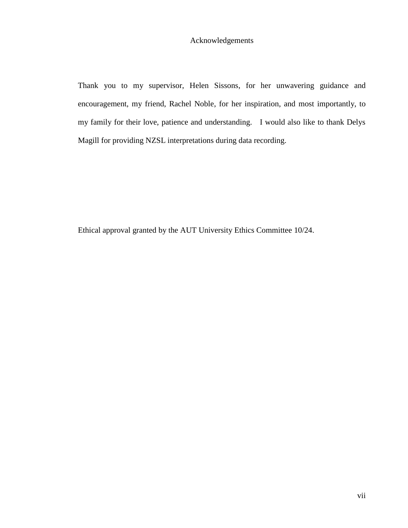# Acknowledgements

Thank you to my supervisor, Helen Sissons, for her unwavering guidance and encouragement, my friend, Rachel Noble, for her inspiration, and most importantly, to my family for their love, patience and understanding. I would also like to thank Delys Magill for providing NZSL interpretations during data recording.

Ethical approval granted by the AUT University Ethics Committee 10/24.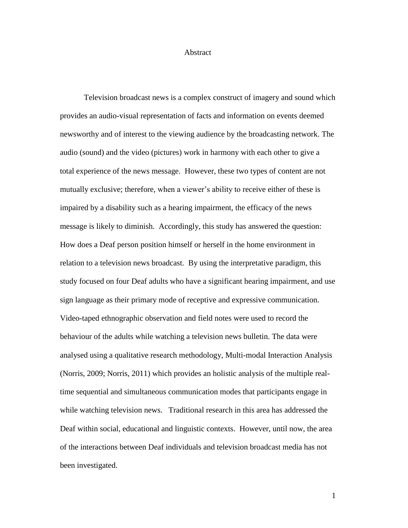#### Abstract

Television broadcast news is a complex construct of imagery and sound which provides an audio-visual representation of facts and information on events deemed newsworthy and of interest to the viewing audience by the broadcasting network. The audio (sound) and the video (pictures) work in harmony with each other to give a total experience of the news message. However, these two types of content are not mutually exclusive; therefore, when a viewer"s ability to receive either of these is impaired by a disability such as a hearing impairment, the efficacy of the news message is likely to diminish. Accordingly, this study has answered the question: How does a Deaf person position himself or herself in the home environment in relation to a television news broadcast. By using the interpretative paradigm, this study focused on four Deaf adults who have a significant hearing impairment, and use sign language as their primary mode of receptive and expressive communication. Video-taped ethnographic observation and field notes were used to record the behaviour of the adults while watching a television news bulletin. The data were analysed using a qualitative research methodology, Multi-modal Interaction Analysis (Norris, 2009; Norris, 2011) which provides an holistic analysis of the multiple realtime sequential and simultaneous communication modes that participants engage in while watching television news. Traditional research in this area has addressed the Deaf within social, educational and linguistic contexts. However, until now, the area of the interactions between Deaf individuals and television broadcast media has not been investigated.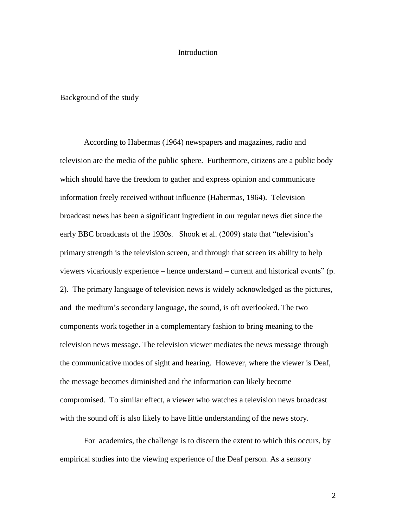#### Introduction

## Background of the study

According to Habermas (1964) newspapers and magazines, radio and television are the media of the public sphere. Furthermore, citizens are a public body which should have the freedom to gather and express opinion and communicate information freely received without influence (Habermas, 1964). Television broadcast news has been a significant ingredient in our regular news diet since the early BBC broadcasts of the 1930s. Shook et al. (2009) state that "television's primary strength is the television screen, and through that screen its ability to help viewers vicariously experience – hence understand – current and historical events" (p. 2). The primary language of television news is widely acknowledged as the pictures, and the medium"s secondary language, the sound, is oft overlooked. The two components work together in a complementary fashion to bring meaning to the television news message. The television viewer mediates the news message through the communicative modes of sight and hearing. However, where the viewer is Deaf, the message becomes diminished and the information can likely become compromised. To similar effect, a viewer who watches a television news broadcast with the sound off is also likely to have little understanding of the news story.

For academics, the challenge is to discern the extent to which this occurs, by empirical studies into the viewing experience of the Deaf person. As a sensory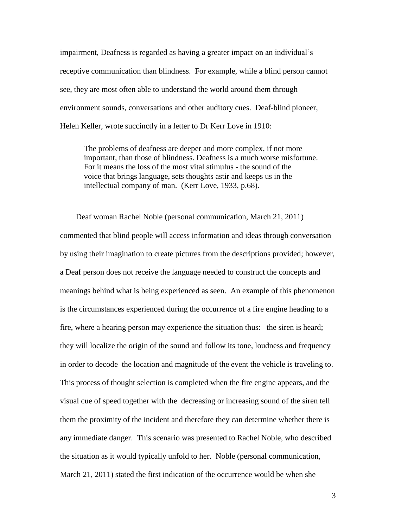impairment, Deafness is regarded as having a greater impact on an individual"s receptive communication than blindness. For example, while a blind person cannot see, they are most often able to understand the world around them through environment sounds, conversations and other auditory cues. Deaf-blind pioneer, Helen Keller, wrote succinctly in a letter to Dr Kerr Love in 1910:

The problems of deafness are deeper and more complex, if not more important, than those of blindness. Deafness is a much worse misfortune. For it means the loss of the most vital stimulus - the sound of the voice that brings language, sets thoughts astir and keeps us in the intellectual company of man. (Kerr Love, 1933, p.68).

 Deaf woman Rachel Noble (personal communication, March 21, 2011) commented that blind people will access information and ideas through conversation by using their imagination to create pictures from the descriptions provided; however, a Deaf person does not receive the language needed to construct the concepts and meanings behind what is being experienced as seen. An example of this phenomenon is the circumstances experienced during the occurrence of a fire engine heading to a fire, where a hearing person may experience the situation thus: the siren is heard; they will localize the origin of the sound and follow its tone, loudness and frequency in order to decode the location and magnitude of the event the vehicle is traveling to. This process of thought selection is completed when the fire engine appears, and the visual cue of speed together with the decreasing or increasing sound of the siren tell them the proximity of the incident and therefore they can determine whether there is any immediate danger. This scenario was presented to Rachel Noble, who described the situation as it would typically unfold to her. Noble (personal communication, March 21, 2011) stated the first indication of the occurrence would be when she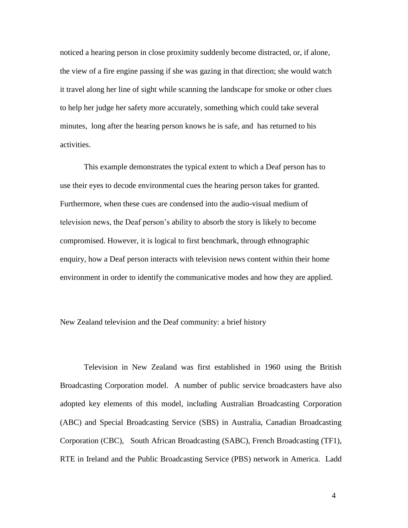noticed a hearing person in close proximity suddenly become distracted, or, if alone, the view of a fire engine passing if she was gazing in that direction; she would watch it travel along her line of sight while scanning the landscape for smoke or other clues to help her judge her safety more accurately, something which could take several minutes, long after the hearing person knows he is safe, and has returned to his activities.

This example demonstrates the typical extent to which a Deaf person has to use their eyes to decode environmental cues the hearing person takes for granted. Furthermore, when these cues are condensed into the audio-visual medium of television news, the Deaf person"s ability to absorb the story is likely to become compromised. However, it is logical to first benchmark, through ethnographic enquiry, how a Deaf person interacts with television news content within their home environment in order to identify the communicative modes and how they are applied.

# New Zealand television and the Deaf community: a brief history

Television in New Zealand was first established in 1960 using the British Broadcasting Corporation model. A number of public service broadcasters have also adopted key elements of this model, including Australian Broadcasting Corporation (ABC) and Special Broadcasting Service (SBS) in Australia, Canadian Broadcasting Corporation (CBC), South African Broadcasting (SABC), French Broadcasting (TF1), RTE in Ireland and the Public Broadcasting Service (PBS) network in America. Ladd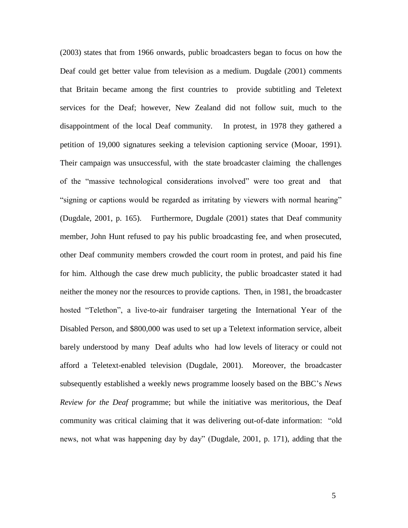(2003) states that from 1966 onwards, public broadcasters began to focus on how the Deaf could get better value from television as a medium. Dugdale (2001) comments that Britain became among the first countries to provide subtitling and Teletext services for the Deaf; however, New Zealand did not follow suit, much to the disappointment of the local Deaf community. In protest, in 1978 they gathered a petition of 19,000 signatures seeking a television captioning service (Mooar, 1991). Their campaign was unsuccessful, with the state broadcaster claiming the challenges of the "massive technological considerations involved" were too great and that "signing or captions would be regarded as irritating by viewers with normal hearing" (Dugdale, 2001, p. 165). Furthermore, Dugdale (2001) states that Deaf community member, John Hunt refused to pay his public broadcasting fee, and when prosecuted, other Deaf community members crowded the court room in protest, and paid his fine for him. Although the case drew much publicity, the public broadcaster stated it had neither the money nor the resources to provide captions. Then, in 1981, the broadcaster hosted "Telethon", a live-to-air fundraiser targeting the International Year of the Disabled Person, and \$800,000 was used to set up a Teletext information service, albeit barely understood by many Deaf adults who had low levels of literacy or could not afford a Teletext-enabled television (Dugdale, 2001). Moreover, the broadcaster subsequently established a weekly news programme loosely based on the BBC"s *News Review for the Deaf* programme; but while the initiative was meritorious, the Deaf community was critical claiming that it was delivering out-of-date information: "old news, not what was happening day by day" (Dugdale, 2001, p. 171), adding that the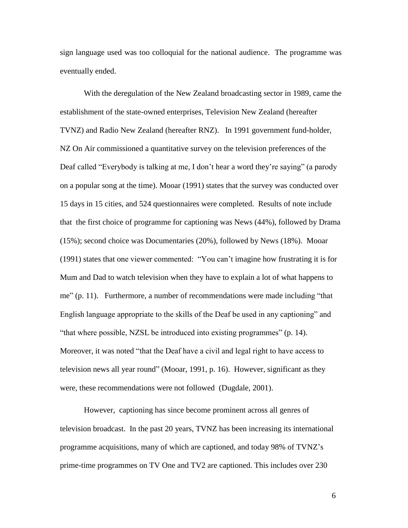sign language used was too colloquial for the national audience. The programme was eventually ended.

With the deregulation of the New Zealand broadcasting sector in 1989, came the establishment of the state-owned enterprises, Television New Zealand (hereafter TVNZ) and Radio New Zealand (hereafter RNZ). In 1991 government fund-holder, NZ On Air commissioned a quantitative survey on the television preferences of the Deaf called "Everybody is talking at me, I don"t hear a word they"re saying" (a parody on a popular song at the time). Mooar (1991) states that the survey was conducted over 15 days in 15 cities, and 524 questionnaires were completed. Results of note include that the first choice of programme for captioning was News (44%), followed by Drama (15%); second choice was Documentaries (20%), followed by News (18%). Mooar (1991) states that one viewer commented: "You can"t imagine how frustrating it is for Mum and Dad to watch television when they have to explain a lot of what happens to me" (p. 11). Furthermore, a number of recommendations were made including "that English language appropriate to the skills of the Deaf be used in any captioning" and "that where possible, NZSL be introduced into existing programmes" (p. 14). Moreover, it was noted "that the Deaf have a civil and legal right to have access to television news all year round" (Mooar, 1991, p. 16). However, significant as they were, these recommendations were not followed (Dugdale, 2001).

However, captioning has since become prominent across all genres of television broadcast. In the past 20 years, TVNZ has been increasing its international programme acquisitions, many of which are captioned, and today 98% of TVNZ"s prime-time programmes on TV One and TV2 are captioned. This includes over 230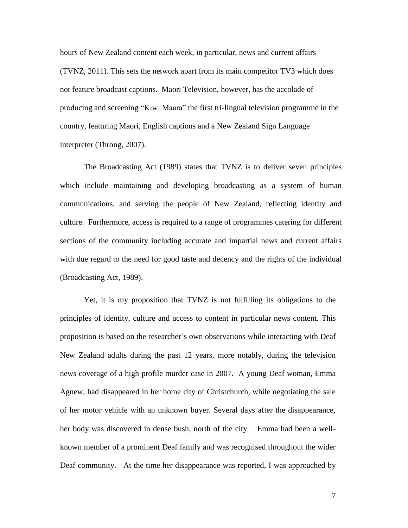hours of New Zealand content each week, in particular, news and current affairs (TVNZ, 2011). This sets the network apart from its main competitor TV3 which does not feature broadcast captions. Maori Television, however, has the accolade of producing and screening "Kiwi Maara" the first tri-lingual television programme in the country, featuring Maori, English captions and a New Zealand Sign Language interpreter (Throng, 2007).

The Broadcasting Act (1989) states that TVNZ is to deliver seven principles which include maintaining and developing broadcasting as a system of human communications, and serving the people of New Zealand, reflecting identity and culture. Furthermore, access is required to a range of programmes catering for different sections of the community including accurate and impartial news and current affairs with due regard to the need for good taste and decency and the rights of the individual (Broadcasting Act, 1989).

Yet, it is my proposition that TVNZ is not fulfilling its obligations to the principles of identity, culture and access to content in particular news content. This proposition is based on the researcher"s own observations while interacting with Deaf New Zealand adults during the past 12 years, more notably, during the television news coverage of a high profile murder case in 2007. A young Deaf woman, Emma Agnew, had disappeared in her home city of Christchurch, while negotiating the sale of her motor vehicle with an unknown buyer. Several days after the disappearance, her body was discovered in dense bush, north of the city. Emma had been a wellknown member of a prominent Deaf family and was recognised throughout the wider Deaf community. At the time her disappearance was reported, I was approached by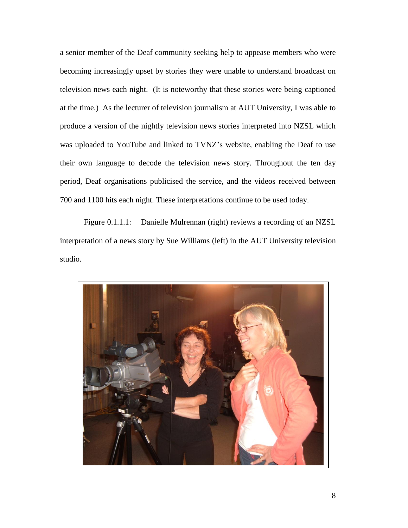a senior member of the Deaf community seeking help to appease members who were becoming increasingly upset by stories they were unable to understand broadcast on television news each night. (It is noteworthy that these stories were being captioned at the time.) As the lecturer of television journalism at AUT University, I was able to produce a version of the nightly television news stories interpreted into NZSL which was uploaded to YouTube and linked to TVNZ"s website, enabling the Deaf to use their own language to decode the television news story. Throughout the ten day period, Deaf organisations publicised the service, and the videos received between 700 and 1100 hits each night. These interpretations continue to be used today.

Figure 0.1.1.1: Danielle Mulrennan (right) reviews a recording of an NZSL interpretation of a news story by Sue Williams (left) in the AUT University television studio.

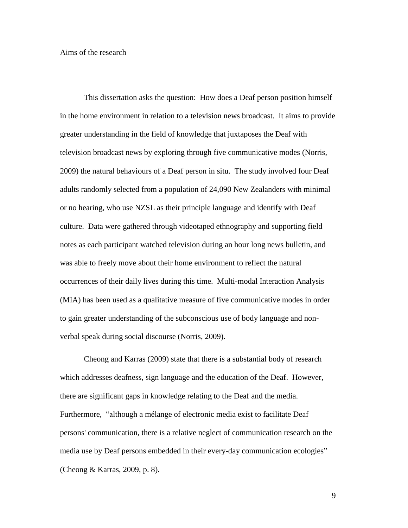This dissertation asks the question: How does a Deaf person position himself in the home environment in relation to a television news broadcast. It aims to provide greater understanding in the field of knowledge that juxtaposes the Deaf with television broadcast news by exploring through five communicative modes (Norris, 2009) the natural behaviours of a Deaf person in situ. The study involved four Deaf adults randomly selected from a population of 24,090 New Zealanders with minimal or no hearing, who use NZSL as their principle language and identify with Deaf culture. Data were gathered through videotaped ethnography and supporting field notes as each participant watched television during an hour long news bulletin, and was able to freely move about their home environment to reflect the natural occurrences of their daily lives during this time. Multi-modal Interaction Analysis (MIA) has been used as a qualitative measure of five communicative modes in order to gain greater understanding of the subconscious use of body language and nonverbal speak during social discourse (Norris, 2009).

Cheong and Karras (2009) state that there is a substantial body of research which addresses deafness, sign language and the education of the Deaf. However, there are significant gaps in knowledge relating to the Deaf and the media. Furthermore, "although a mélange of electronic media exist to facilitate Deaf persons' communication, there is a relative neglect of communication research on the media use by Deaf persons embedded in their every-day communication ecologies" (Cheong & Karras, 2009, p. 8).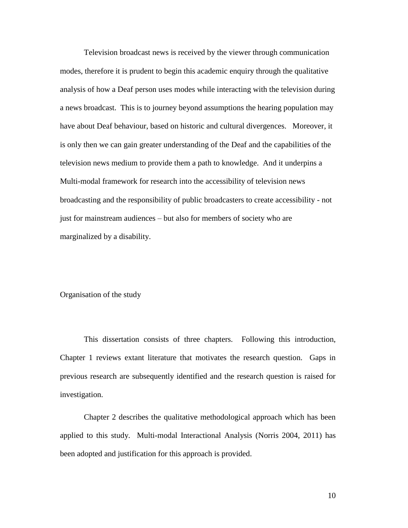Television broadcast news is received by the viewer through communication modes, therefore it is prudent to begin this academic enquiry through the qualitative analysis of how a Deaf person uses modes while interacting with the television during a news broadcast. This is to journey beyond assumptions the hearing population may have about Deaf behaviour, based on historic and cultural divergences. Moreover, it is only then we can gain greater understanding of the Deaf and the capabilities of the television news medium to provide them a path to knowledge. And it underpins a Multi-modal framework for research into the accessibility of television news broadcasting and the responsibility of public broadcasters to create accessibility - not just for mainstream audiences – but also for members of society who are marginalized by a disability.

# Organisation of the study

This dissertation consists of three chapters. Following this introduction, Chapter 1 reviews extant literature that motivates the research question. Gaps in previous research are subsequently identified and the research question is raised for investigation.

Chapter 2 describes the qualitative methodological approach which has been applied to this study. Multi-modal Interactional Analysis (Norris 2004, 2011) has been adopted and justification for this approach is provided.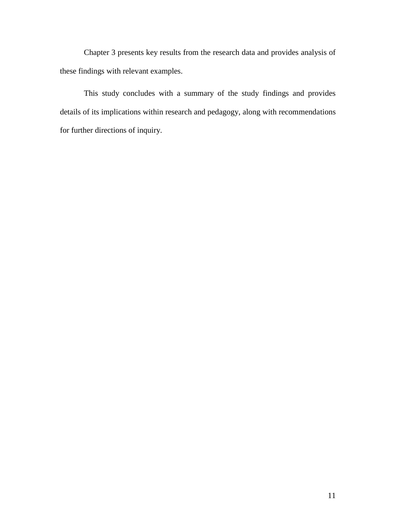Chapter 3 presents key results from the research data and provides analysis of these findings with relevant examples.

This study concludes with a summary of the study findings and provides details of its implications within research and pedagogy, along with recommendations for further directions of inquiry.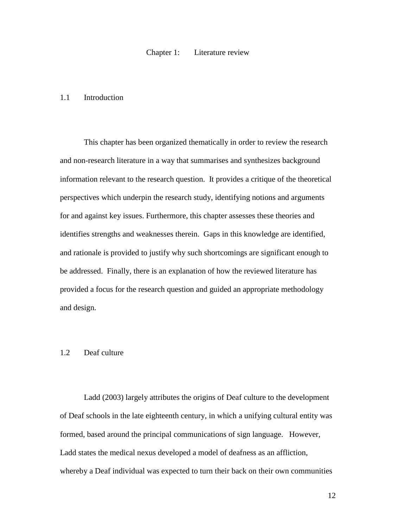### 1.1 Introduction

This chapter has been organized thematically in order to review the research and non-research literature in a way that summarises and synthesizes background information relevant to the research question. It provides a critique of the theoretical perspectives which underpin the research study, identifying notions and arguments for and against key issues. Furthermore, this chapter assesses these theories and identifies strengths and weaknesses therein. Gaps in this knowledge are identified, and rationale is provided to justify why such shortcomings are significant enough to be addressed. Finally, there is an explanation of how the reviewed literature has provided a focus for the research question and guided an appropriate methodology and design.

# 1.2 Deaf culture

Ladd (2003) largely attributes the origins of Deaf culture to the development of Deaf schools in the late eighteenth century, in which a unifying cultural entity was formed, based around the principal communications of sign language. However, Ladd states the medical nexus developed a model of deafness as an affliction, whereby a Deaf individual was expected to turn their back on their own communities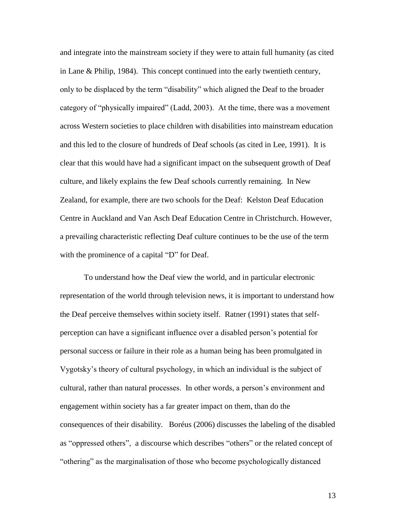and integrate into the mainstream society if they were to attain full humanity (as cited in Lane & Philip, 1984). This concept continued into the early twentieth century, only to be displaced by the term "disability" which aligned the Deaf to the broader category of "physically impaired" (Ladd, 2003). At the time, there was a movement across Western societies to place children with disabilities into mainstream education and this led to the closure of hundreds of Deaf schools (as cited in Lee, 1991). It is clear that this would have had a significant impact on the subsequent growth of Deaf culture, and likely explains the few Deaf schools currently remaining. In New Zealand, for example, there are two schools for the Deaf: Kelston Deaf Education Centre in Auckland and Van Asch Deaf Education Centre in Christchurch. However, a prevailing characteristic reflecting Deaf culture continues to be the use of the term with the prominence of a capital "D" for Deaf.

To understand how the Deaf view the world, and in particular electronic representation of the world through television news, it is important to understand how the Deaf perceive themselves within society itself. Ratner (1991) states that selfperception can have a significant influence over a disabled person"s potential for personal success or failure in their role as a human being has been promulgated in Vygotsky"s theory of cultural psychology, in which an individual is the subject of cultural, rather than natural processes. In other words, a person"s environment and engagement within society has a far greater impact on them, than do the consequences of their disability. Boréus (2006) discusses the labeling of the disabled as "oppressed others", a discourse which describes "others" or the related concept of "othering" as the marginalisation of those who become psychologically distanced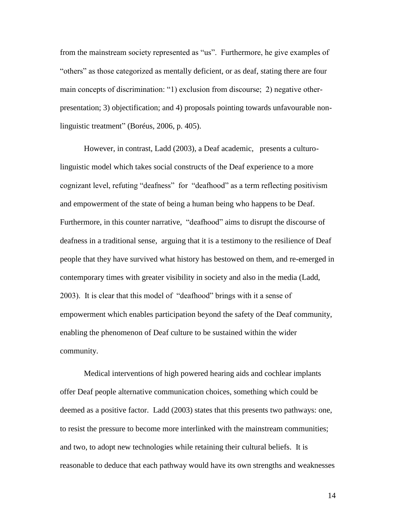from the mainstream society represented as "us". Furthermore, he give examples of "others" as those categorized as mentally deficient, or as deaf, stating there are four main concepts of discrimination: "1) exclusion from discourse; 2) negative otherpresentation; 3) objectification; and 4) proposals pointing towards unfavourable nonlinguistic treatment" (Boréus, 2006, p. 405).

However, in contrast, Ladd (2003), a Deaf academic, presents a culturolinguistic model which takes social constructs of the Deaf experience to a more cognizant level, refuting "deafness" for "deafhood" as a term reflecting positivism and empowerment of the state of being a human being who happens to be Deaf. Furthermore, in this counter narrative, "deafhood" aims to disrupt the discourse of deafness in a traditional sense, arguing that it is a testimony to the resilience of Deaf people that they have survived what history has bestowed on them, and re-emerged in contemporary times with greater visibility in society and also in the media (Ladd, 2003). It is clear that this model of "deafhood" brings with it a sense of empowerment which enables participation beyond the safety of the Deaf community, enabling the phenomenon of Deaf culture to be sustained within the wider community.

Medical interventions of high powered hearing aids and cochlear implants offer Deaf people alternative communication choices, something which could be deemed as a positive factor. Ladd (2003) states that this presents two pathways: one, to resist the pressure to become more interlinked with the mainstream communities; and two, to adopt new technologies while retaining their cultural beliefs. It is reasonable to deduce that each pathway would have its own strengths and weaknesses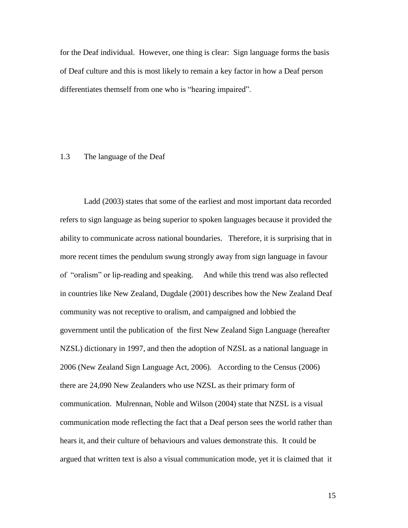for the Deaf individual. However, one thing is clear: Sign language forms the basis of Deaf culture and this is most likely to remain a key factor in how a Deaf person differentiates themself from one who is "hearing impaired".

#### 1.3 The language of the Deaf

Ladd (2003) states that some of the earliest and most important data recorded refers to sign language as being superior to spoken languages because it provided the ability to communicate across national boundaries. Therefore, it is surprising that in more recent times the pendulum swung strongly away from sign language in favour of "oralism" or lip-reading and speaking. And while this trend was also reflected in countries like New Zealand, Dugdale (2001) describes how the New Zealand Deaf community was not receptive to oralism, and campaigned and lobbied the government until the publication of the first New Zealand Sign Language (hereafter NZSL) dictionary in 1997, and then the adoption of NZSL as a national language in 2006 (New Zealand Sign Language Act, 2006). According to the Census (2006) there are 24,090 New Zealanders who use NZSL as their primary form of communication. Mulrennan, Noble and Wilson (2004) state that NZSL is a visual communication mode reflecting the fact that a Deaf person sees the world rather than hears it, and their culture of behaviours and values demonstrate this. It could be argued that written text is also a visual communication mode, yet it is claimed that it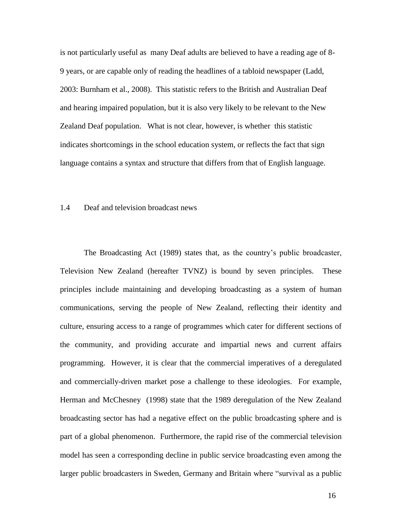is not particularly useful as many Deaf adults are believed to have a reading age of 8- 9 years, or are capable only of reading the headlines of a tabloid newspaper (Ladd, 2003: Burnham et al., 2008). This statistic refers to the British and Australian Deaf and hearing impaired population, but it is also very likely to be relevant to the New Zealand Deaf population. What is not clear, however, is whether this statistic indicates shortcomings in the school education system, or reflects the fact that sign language contains a syntax and structure that differs from that of English language.

#### 1.4 Deaf and television broadcast news

The Broadcasting Act (1989) states that, as the country"s public broadcaster, Television New Zealand (hereafter TVNZ) is bound by seven principles. These principles include maintaining and developing broadcasting as a system of human communications, serving the people of New Zealand, reflecting their identity and culture, ensuring access to a range of programmes which cater for different sections of the community, and providing accurate and impartial news and current affairs programming. However, it is clear that the commercial imperatives of a deregulated and commercially-driven market pose a challenge to these ideologies. For example, Herman and McChesney (1998) state that the 1989 deregulation of the New Zealand broadcasting sector has had a negative effect on the public broadcasting sphere and is part of a global phenomenon. Furthermore, the rapid rise of the commercial television model has seen a corresponding decline in public service broadcasting even among the larger public broadcasters in Sweden, Germany and Britain where "survival as a public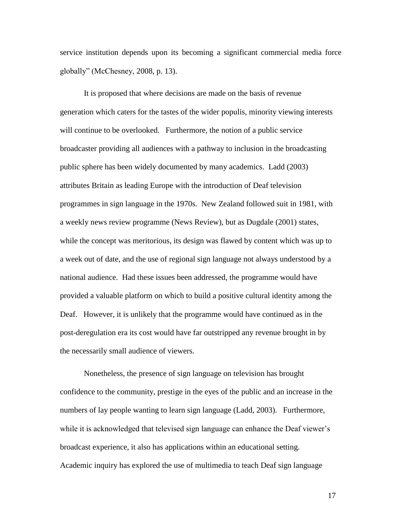service institution depends upon its becoming a significant commercial media force globally" (McChesney, 2008, p. 13).

It is proposed that where decisions are made on the basis of revenue generation which caters for the tastes of the wider populis, minority viewing interests will continue to be overlooked. Furthermore, the notion of a public service broadcaster providing all audiences with a pathway to inclusion in the broadcasting public sphere has been widely documented by many academics. Ladd (2003) attributes Britain as leading Europe with the introduction of Deaf television programmes in sign language in the 1970s. New Zealand followed suit in 1981, with a weekly news review programme (News Review), but as Dugdale (2001) states, while the concept was meritorious, its design was flawed by content which was up to a week out of date, and the use of regional sign language not always understood by a national audience. Had these issues been addressed, the programme would have provided a valuable platform on which to build a positive cultural identity among the Deaf. However, it is unlikely that the programme would have continued as in the post-deregulation era its cost would have far outstripped any revenue brought in by the necessarily small audience of viewers.

Nonetheless, the presence of sign language on television has brought confidence to the community, prestige in the eyes of the public and an increase in the numbers of lay people wanting to learn sign language (Ladd, 2003). Furthermore, while it is acknowledged that televised sign language can enhance the Deaf viewer's broadcast experience, it also has applications within an educational setting. Academic inquiry has explored the use of multimedia to teach Deaf sign language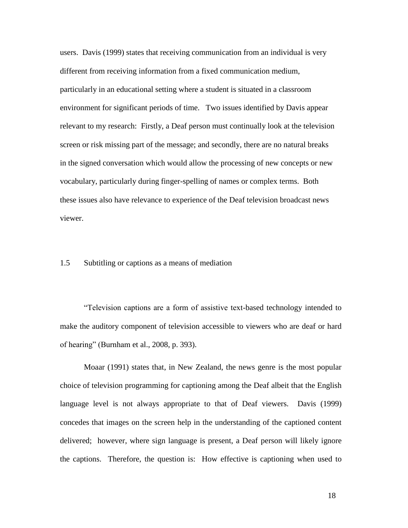users. Davis (1999) states that receiving communication from an individual is very different from receiving information from a fixed communication medium, particularly in an educational setting where a student is situated in a classroom environment for significant periods of time. Two issues identified by Davis appear relevant to my research: Firstly, a Deaf person must continually look at the television screen or risk missing part of the message; and secondly, there are no natural breaks in the signed conversation which would allow the processing of new concepts or new vocabulary, particularly during finger-spelling of names or complex terms. Both these issues also have relevance to experience of the Deaf television broadcast news viewer.

### 1.5 Subtitling or captions as a means of mediation

"Television captions are a form of assistive text-based technology intended to make the auditory component of television accessible to viewers who are deaf or hard of hearing" (Burnham et al., 2008, p. 393).

Moaar (1991) states that, in New Zealand, the news genre is the most popular choice of television programming for captioning among the Deaf albeit that the English language level is not always appropriate to that of Deaf viewers. Davis (1999) concedes that images on the screen help in the understanding of the captioned content delivered; however, where sign language is present, a Deaf person will likely ignore the captions. Therefore, the question is: How effective is captioning when used to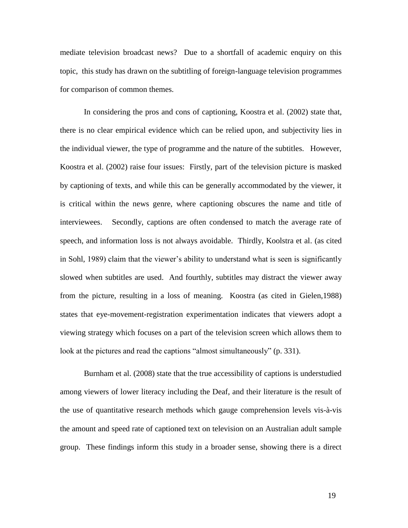mediate television broadcast news? Due to a shortfall of academic enquiry on this topic, this study has drawn on the subtitling of foreign-language television programmes for comparison of common themes.

In considering the pros and cons of captioning, Koostra et al. (2002) state that, there is no clear empirical evidence which can be relied upon, and subjectivity lies in the individual viewer, the type of programme and the nature of the subtitles. However, Koostra et al. (2002) raise four issues: Firstly, part of the television picture is masked by captioning of texts, and while this can be generally accommodated by the viewer, it is critical within the news genre, where captioning obscures the name and title of interviewees. Secondly, captions are often condensed to match the average rate of speech, and information loss is not always avoidable. Thirdly, Koolstra et al. (as cited in Sohl, 1989) claim that the viewer"s ability to understand what is seen is significantly slowed when subtitles are used. And fourthly, subtitles may distract the viewer away from the picture, resulting in a loss of meaning. Koostra (as cited in Gielen,1988) states that eye-movement-registration experimentation indicates that viewers adopt a viewing strategy which focuses on a part of the television screen which allows them to look at the pictures and read the captions "almost simultaneously" (p. 331).

Burnham et al. (2008) state that the true accessibility of captions is understudied among viewers of lower literacy including the Deaf, and their literature is the result of the use of quantitative research methods which gauge comprehension levels vis-à-vis the amount and speed rate of captioned text on television on an Australian adult sample group. These findings inform this study in a broader sense, showing there is a direct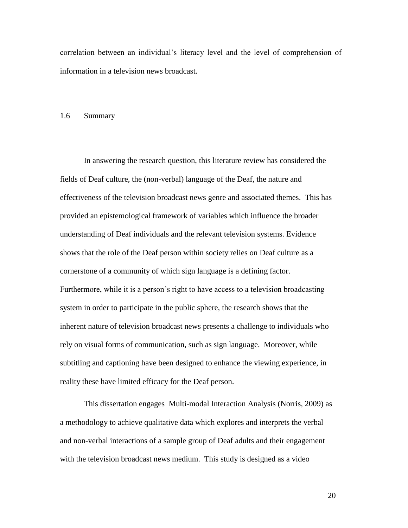correlation between an individual"s literacy level and the level of comprehension of information in a television news broadcast.

# 1.6 Summary

In answering the research question, this literature review has considered the fields of Deaf culture, the (non-verbal) language of the Deaf, the nature and effectiveness of the television broadcast news genre and associated themes. This has provided an epistemological framework of variables which influence the broader understanding of Deaf individuals and the relevant television systems. Evidence shows that the role of the Deaf person within society relies on Deaf culture as a cornerstone of a community of which sign language is a defining factor. Furthermore, while it is a person's right to have access to a television broadcasting system in order to participate in the public sphere, the research shows that the inherent nature of television broadcast news presents a challenge to individuals who rely on visual forms of communication, such as sign language. Moreover, while subtitling and captioning have been designed to enhance the viewing experience, in reality these have limited efficacy for the Deaf person.

This dissertation engages Multi-modal Interaction Analysis (Norris, 2009) as a methodology to achieve qualitative data which explores and interprets the verbal and non-verbal interactions of a sample group of Deaf adults and their engagement with the television broadcast news medium. This study is designed as a video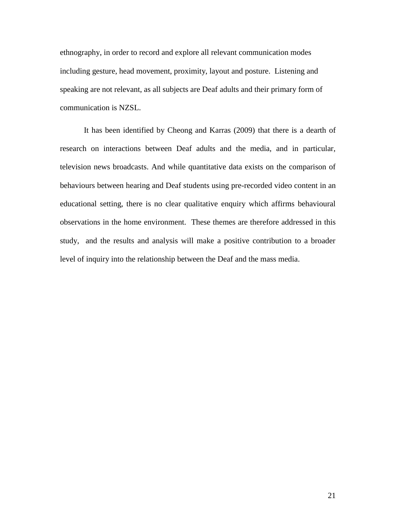ethnography, in order to record and explore all relevant communication modes including gesture, head movement, proximity, layout and posture. Listening and speaking are not relevant, as all subjects are Deaf adults and their primary form of communication is NZSL.

It has been identified by Cheong and Karras (2009) that there is a dearth of research on interactions between Deaf adults and the media, and in particular, television news broadcasts. And while quantitative data exists on the comparison of behaviours between hearing and Deaf students using pre-recorded video content in an educational setting, there is no clear qualitative enquiry which affirms behavioural observations in the home environment. These themes are therefore addressed in this study, and the results and analysis will make a positive contribution to a broader level of inquiry into the relationship between the Deaf and the mass media.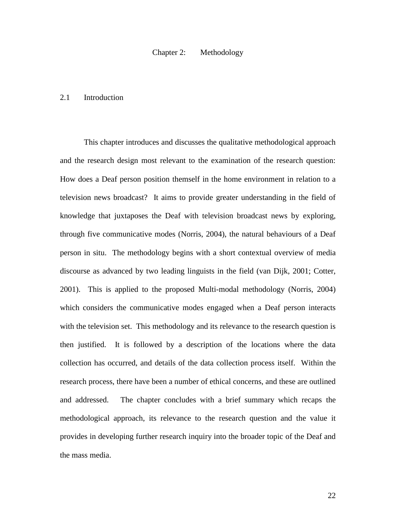### Chapter 2: Methodology

### 2.1 Introduction

This chapter introduces and discusses the qualitative methodological approach and the research design most relevant to the examination of the research question: How does a Deaf person position themself in the home environment in relation to a television news broadcast? It aims to provide greater understanding in the field of knowledge that juxtaposes the Deaf with television broadcast news by exploring, through five communicative modes (Norris, 2004), the natural behaviours of a Deaf person in situ. The methodology begins with a short contextual overview of media discourse as advanced by two leading linguists in the field (van Dijk, 2001; Cotter, 2001). This is applied to the proposed Multi-modal methodology (Norris, 2004) which considers the communicative modes engaged when a Deaf person interacts with the television set. This methodology and its relevance to the research question is then justified. It is followed by a description of the locations where the data collection has occurred, and details of the data collection process itself. Within the research process, there have been a number of ethical concerns, and these are outlined and addressed. The chapter concludes with a brief summary which recaps the methodological approach, its relevance to the research question and the value it provides in developing further research inquiry into the broader topic of the Deaf and the mass media.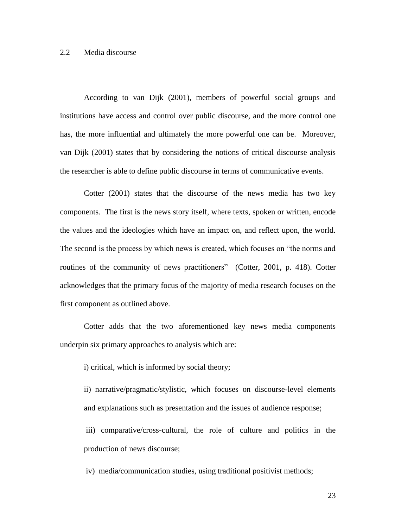## 2.2 Media discourse

According to van Dijk (2001), members of powerful social groups and institutions have access and control over public discourse, and the more control one has, the more influential and ultimately the more powerful one can be. Moreover, van Dijk (2001) states that by considering the notions of critical discourse analysis the researcher is able to define public discourse in terms of communicative events.

Cotter (2001) states that the discourse of the news media has two key components. The first is the news story itself, where texts, spoken or written, encode the values and the ideologies which have an impact on, and reflect upon, the world. The second is the process by which news is created, which focuses on "the norms and routines of the community of news practitioners" (Cotter, 2001, p. 418). Cotter acknowledges that the primary focus of the majority of media research focuses on the first component as outlined above.

Cotter adds that the two aforementioned key news media components underpin six primary approaches to analysis which are:

i) critical, which is informed by social theory;

ii) narrative/pragmatic/stylistic, which focuses on discourse-level elements and explanations such as presentation and the issues of audience response;

iii) comparative/cross-cultural, the role of culture and politics in the production of news discourse;

iv) media/communication studies, using traditional positivist methods;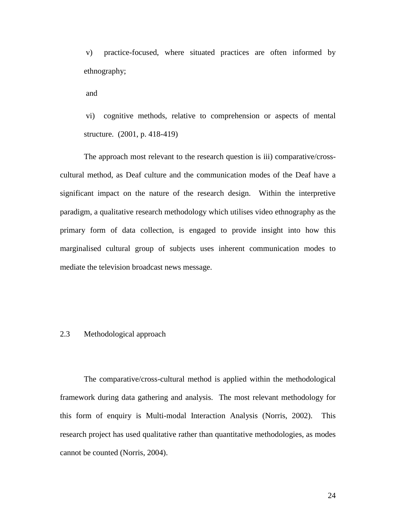v) practice-focused, where situated practices are often informed by ethnography;

and

vi) cognitive methods, relative to comprehension or aspects of mental structure. (2001, p. 418-419)

The approach most relevant to the research question is iii) comparative/crosscultural method, as Deaf culture and the communication modes of the Deaf have a significant impact on the nature of the research design. Within the interpretive paradigm, a qualitative research methodology which utilises video ethnography as the primary form of data collection, is engaged to provide insight into how this marginalised cultural group of subjects uses inherent communication modes to mediate the television broadcast news message.

# 2.3 Methodological approach

The comparative/cross-cultural method is applied within the methodological framework during data gathering and analysis. The most relevant methodology for this form of enquiry is Multi-modal Interaction Analysis (Norris, 2002). This research project has used qualitative rather than quantitative methodologies, as modes cannot be counted (Norris, 2004).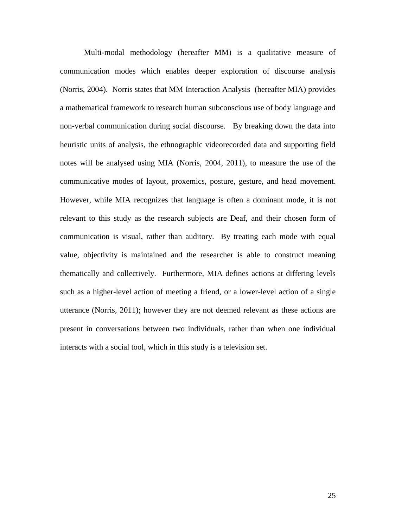Multi-modal methodology (hereafter MM) is a qualitative measure of communication modes which enables deeper exploration of discourse analysis (Norris, 2004). Norris states that MM Interaction Analysis (hereafter MIA) provides a mathematical framework to research human subconscious use of body language and non-verbal communication during social discourse. By breaking down the data into heuristic units of analysis, the ethnographic videorecorded data and supporting field notes will be analysed using MIA (Norris, 2004, 2011), to measure the use of the communicative modes of layout, proxemics, posture, gesture, and head movement. However, while MIA recognizes that language is often a dominant mode, it is not relevant to this study as the research subjects are Deaf, and their chosen form of communication is visual, rather than auditory. By treating each mode with equal value, objectivity is maintained and the researcher is able to construct meaning thematically and collectively. Furthermore, MIA defines actions at differing levels such as a higher-level action of meeting a friend, or a lower-level action of a single utterance (Norris, 2011); however they are not deemed relevant as these actions are present in conversations between two individuals, rather than when one individual interacts with a social tool, which in this study is a television set.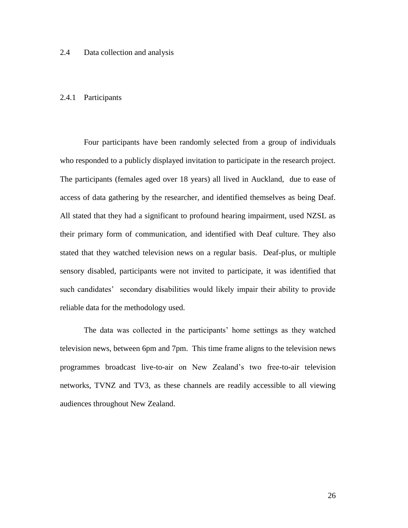# 2.4 Data collection and analysis

### 2.4.1 Participants

Four participants have been randomly selected from a group of individuals who responded to a publicly displayed invitation to participate in the research project. The participants (females aged over 18 years) all lived in Auckland, due to ease of access of data gathering by the researcher, and identified themselves as being Deaf. All stated that they had a significant to profound hearing impairment, used NZSL as their primary form of communication, and identified with Deaf culture. They also stated that they watched television news on a regular basis. Deaf-plus, or multiple sensory disabled, participants were not invited to participate, it was identified that such candidates' secondary disabilities would likely impair their ability to provide reliable data for the methodology used.

The data was collected in the participants' home settings as they watched television news, between 6pm and 7pm. This time frame aligns to the television news programmes broadcast live-to-air on New Zealand"s two free-to-air television networks, TVNZ and TV3, as these channels are readily accessible to all viewing audiences throughout New Zealand.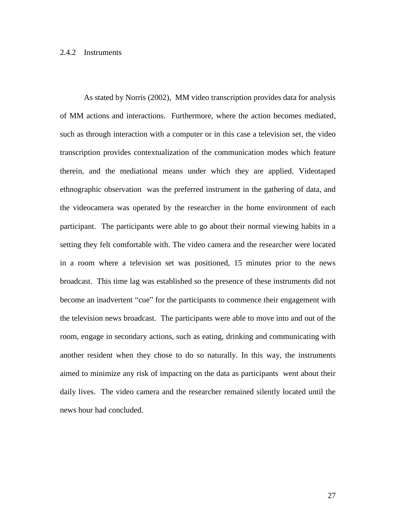#### 2.4.2 Instruments

As stated by Norris (2002), MM video transcription provides data for analysis of MM actions and interactions. Furthermore, where the action becomes mediated, such as through interaction with a computer or in this case a television set, the video transcription provides contextualization of the communication modes which feature therein, and the mediational means under which they are applied. Videotaped ethnographic observation was the preferred instrument in the gathering of data, and the videocamera was operated by the researcher in the home environment of each participant. The participants were able to go about their normal viewing habits in a setting they felt comfortable with. The video camera and the researcher were located in a room where a television set was positioned, 15 minutes prior to the news broadcast. This time lag was established so the presence of these instruments did not become an inadvertent "cue" for the participants to commence their engagement with the television news broadcast. The participants were able to move into and out of the room, engage in secondary actions, such as eating, drinking and communicating with another resident when they chose to do so naturally. In this way, the instruments aimed to minimize any risk of impacting on the data as participants went about their daily lives. The video camera and the researcher remained silently located until the news hour had concluded.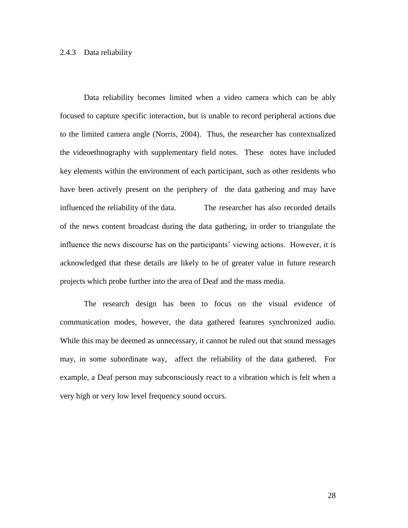### 2.4.3 Data reliability

Data reliability becomes limited when a video camera which can be ably focused to capture specific interaction, but is unable to record peripheral actions due to the limited camera angle (Norris, 2004). Thus, the researcher has contextualized the videoethnography with supplementary field notes. These notes have included key elements within the environment of each participant, such as other residents who have been actively present on the periphery of the data gathering and may have influenced the reliability of the data. The researcher has also recorded details of the news content broadcast during the data gathering, in order to triangulate the influence the news discourse has on the participants' viewing actions. However, it is acknowledged that these details are likely to be of greater value in future research projects which probe further into the area of Deaf and the mass media.

The research design has been to focus on the visual evidence of communication modes, however, the data gathered features synchronized audio. While this may be deemed as unnecessary, it cannot be ruled out that sound messages may, in some subordinate way, affect the reliability of the data gathered. For example, a Deaf person may subconsciously react to a vibration which is felt when a very high or very low level frequency sound occurs.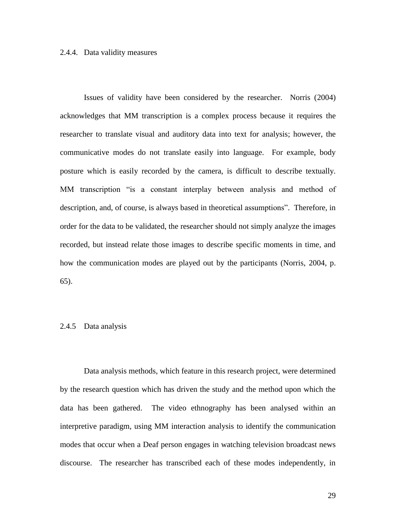#### 2.4.4. Data validity measures

Issues of validity have been considered by the researcher. Norris (2004) acknowledges that MM transcription is a complex process because it requires the researcher to translate visual and auditory data into text for analysis; however, the communicative modes do not translate easily into language. For example, body posture which is easily recorded by the camera, is difficult to describe textually. MM transcription "is a constant interplay between analysis and method of description, and, of course, is always based in theoretical assumptions". Therefore, in order for the data to be validated, the researcher should not simply analyze the images recorded, but instead relate those images to describe specific moments in time, and how the communication modes are played out by the participants (Norris, 2004, p. 65).

### 2.4.5 Data analysis

Data analysis methods, which feature in this research project, were determined by the research question which has driven the study and the method upon which the data has been gathered. The video ethnography has been analysed within an interpretive paradigm, using MM interaction analysis to identify the communication modes that occur when a Deaf person engages in watching television broadcast news discourse. The researcher has transcribed each of these modes independently, in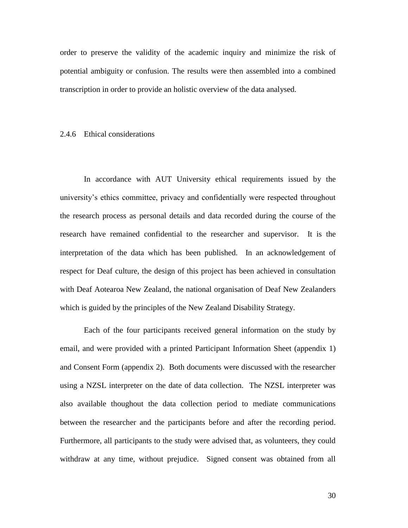order to preserve the validity of the academic inquiry and minimize the risk of potential ambiguity or confusion. The results were then assembled into a combined transcription in order to provide an holistic overview of the data analysed.

#### 2.4.6 Ethical considerations

In accordance with AUT University ethical requirements issued by the university"s ethics committee, privacy and confidentially were respected throughout the research process as personal details and data recorded during the course of the research have remained confidential to the researcher and supervisor. It is the interpretation of the data which has been published. In an acknowledgement of respect for Deaf culture, the design of this project has been achieved in consultation with Deaf Aotearoa New Zealand, the national organisation of Deaf New Zealanders which is guided by the principles of the New Zealand Disability Strategy.

Each of the four participants received general information on the study by email, and were provided with a printed Participant Information Sheet (appendix 1) and Consent Form (appendix 2). Both documents were discussed with the researcher using a NZSL interpreter on the date of data collection. The NZSL interpreter was also available thoughout the data collection period to mediate communications between the researcher and the participants before and after the recording period. Furthermore, all participants to the study were advised that, as volunteers, they could withdraw at any time, without prejudice. Signed consent was obtained from all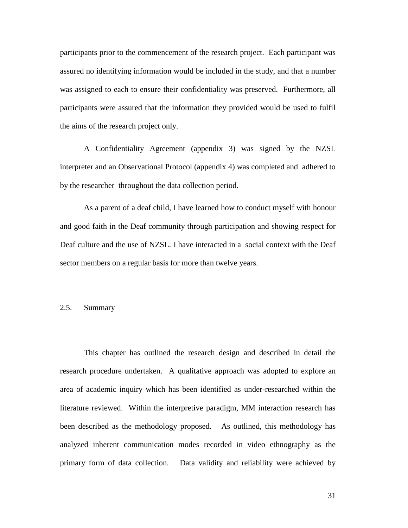participants prior to the commencement of the research project. Each participant was assured no identifying information would be included in the study, and that a number was assigned to each to ensure their confidentiality was preserved. Furthermore, all participants were assured that the information they provided would be used to fulfil the aims of the research project only.

A Confidentiality Agreement (appendix 3) was signed by the NZSL interpreter and an Observational Protocol (appendix 4) was completed and adhered to by the researcher throughout the data collection period.

As a parent of a deaf child, I have learned how to conduct myself with honour and good faith in the Deaf community through participation and showing respect for Deaf culture and the use of NZSL. I have interacted in a social context with the Deaf sector members on a regular basis for more than twelve years.

# 2.5. Summary

This chapter has outlined the research design and described in detail the research procedure undertaken. A qualitative approach was adopted to explore an area of academic inquiry which has been identified as under-researched within the literature reviewed. Within the interpretive paradigm, MM interaction research has been described as the methodology proposed. As outlined, this methodology has analyzed inherent communication modes recorded in video ethnography as the primary form of data collection. Data validity and reliability were achieved by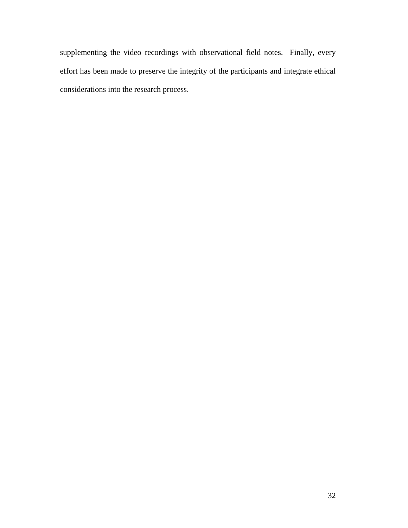supplementing the video recordings with observational field notes. Finally, every effort has been made to preserve the integrity of the participants and integrate ethical considerations into the research process.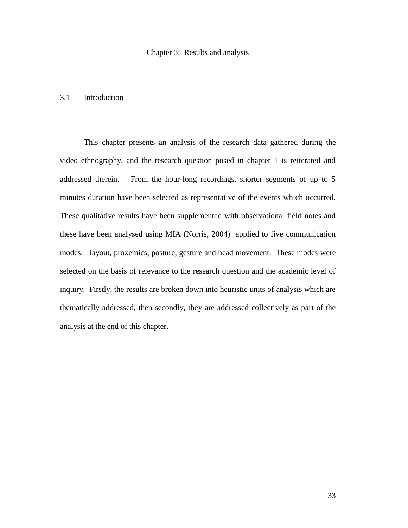### 3.1 Introduction

This chapter presents an analysis of the research data gathered during the video ethnography, and the research question posed in chapter 1 is reiterated and addressed therein. From the hour-long recordings, shorter segments of up to 5 minutes duration have been selected as representative of the events which occurred. These qualitative results have been supplemented with observational field notes and these have been analysed using MIA (Norris, 2004) applied to five communication modes: layout, proxemics, posture, gesture and head movement. These modes were selected on the basis of relevance to the research question and the academic level of inquiry. Firstly, the results are broken down into heuristic units of analysis which are thematically addressed, then secondly, they are addressed collectively as part of the analysis at the end of this chapter.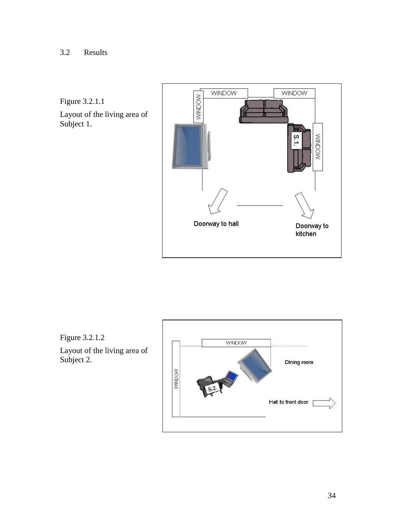Figure 3.2.1.1

Layout of the living area of Subject 1.



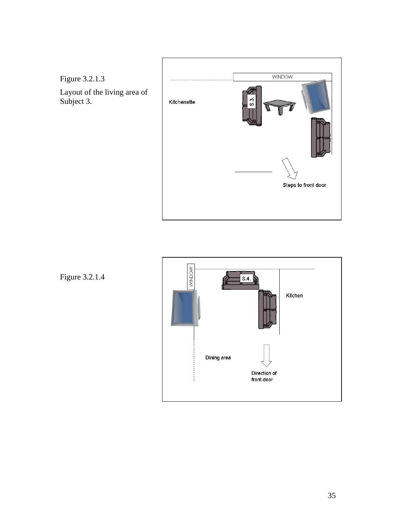



Figure 3.2.1.4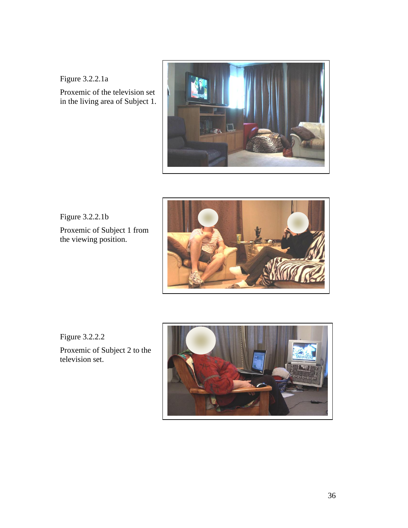Figure 3.2.2.1a

Proxemic of the television set in the living area of Subject 1.



Figure 3.2.2.1b

Proxemic of Subject 1 from the viewing position.



Figure 3.2.2.2

Proxemic of Subject 2 to the television set.

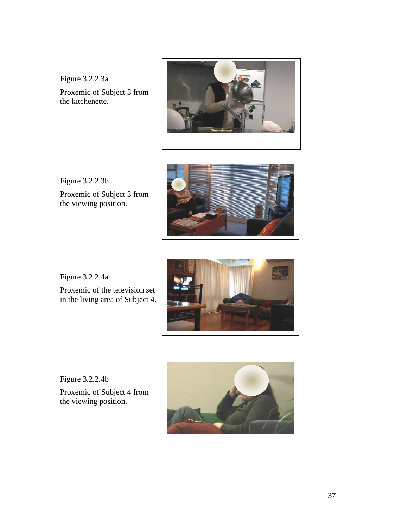Figure 3.2.2.3a Proxemic of Subject 3 from the kitchenette.



Figure 3.2.2.3b

Proxemic of Subject 3 from the viewing position.



Figure 3.2.2.4a

Proxemic of the television set in the living area of Subject 4.



Figure 3.2.2.4b

Proxemic of Subject 4 from the viewing position.

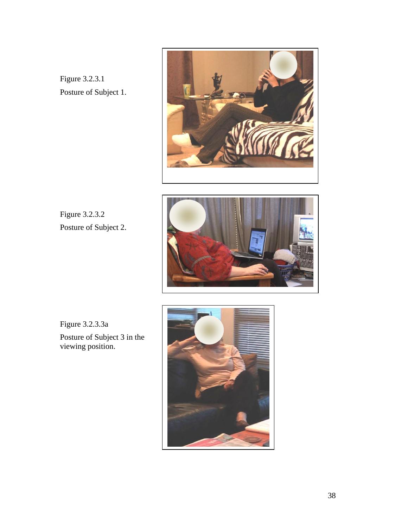Figure 3.2.3.1 Posture of Subject 1.



Figure 3.2.3.2 Posture of Subject 2.



Figure 3.2.3.3a

Posture of Subject 3 in the viewing position.

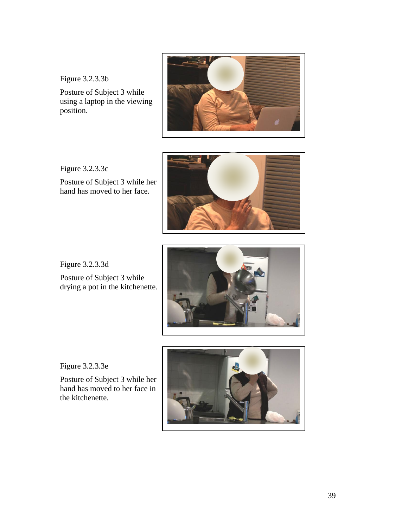Figure 3.2.3.3b

Posture of Subject 3 while using a laptop in the viewing position.



Figure 3.2.3.3c Posture of Subject 3 while her hand has moved to her face.



Figure 3.2.3.3d Posture of Subject 3 while drying a pot in the kitchenette.



Figure 3.2.3.3e

Posture of Subject 3 while her hand has moved to her face in the kitchenette.

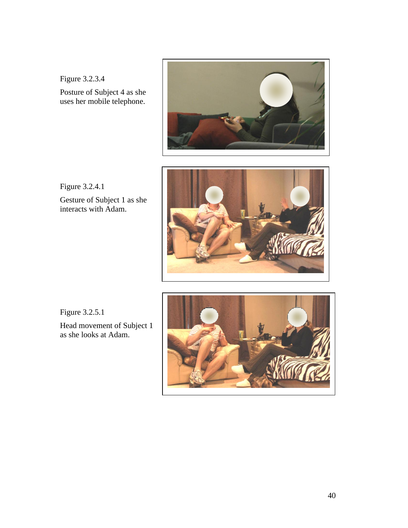Figure 3.2.3.4



Posture of Subject 4 as she uses her mobile telephone.



Figure 3.2.4.1 Gesture of Subject 1 as she interacts with Adam.

Figure 3.2.5.1

Head movement of Subject 1 as she looks at Adam.

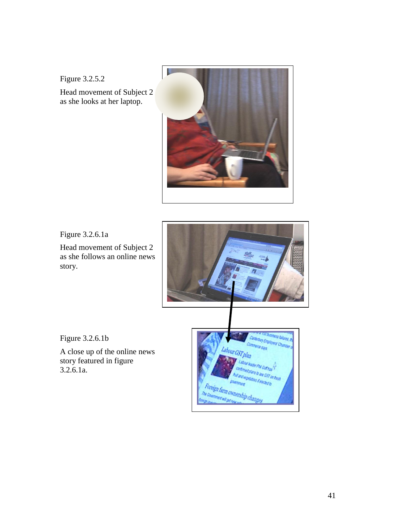Figure 3.2.5.2

Head movement of Subject 2 as she looks at her laptop.



Figure 3.2.6.1a

Head movement of Subject 2 as she follows an online news story.



Figure 3.2.6.1b

A close up of the online news story featured in figure 3.2.6.1a.

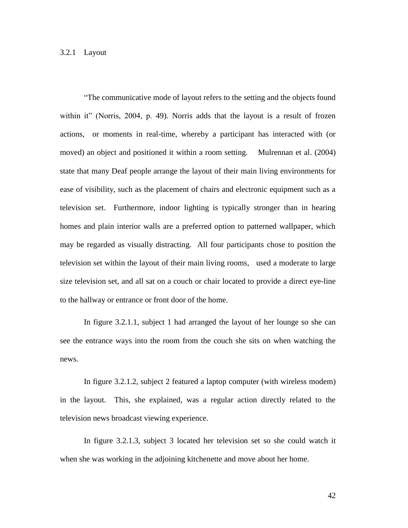"The communicative mode of layout refers to the setting and the objects found within it" (Norris, 2004, p. 49). Norris adds that the layout is a result of frozen actions, or moments in real-time, whereby a participant has interacted with (or moved) an object and positioned it within a room setting. Mulrennan et al. (2004) state that many Deaf people arrange the layout of their main living environments for ease of visibility, such as the placement of chairs and electronic equipment such as a television set. Furthermore, indoor lighting is typically stronger than in hearing homes and plain interior walls are a preferred option to patterned wallpaper, which may be regarded as visually distracting. All four participants chose to position the television set within the layout of their main living rooms, used a moderate to large size television set, and all sat on a couch or chair located to provide a direct eye-line to the hallway or entrance or front door of the home.

In figure 3.2.1.1, subject 1 had arranged the layout of her lounge so she can see the entrance ways into the room from the couch she sits on when watching the news.

In figure 3.2.1.2, subject 2 featured a laptop computer (with wireless modem) in the layout. This, she explained, was a regular action directly related to the television news broadcast viewing experience.

In figure 3.2.1.3, subject 3 located her television set so she could watch it when she was working in the adjoining kitchenette and move about her home.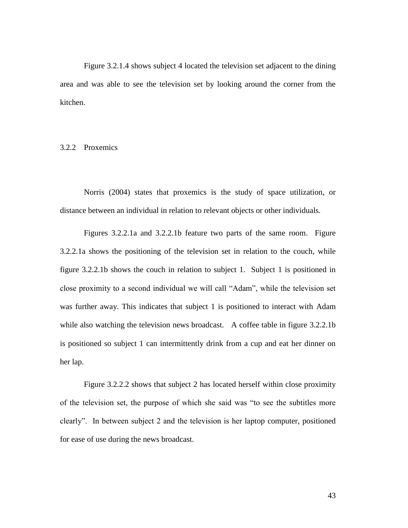Figure 3.2.1.4 shows subject 4 located the television set adjacent to the dining area and was able to see the television set by looking around the corner from the kitchen.

# 3.2.2 Proxemics

Norris (2004) states that proxemics is the study of space utilization, or distance between an individual in relation to relevant objects or other individuals.

Figures 3.2.2.1a and 3.2.2.1b feature two parts of the same room. Figure 3.2.2.1a shows the positioning of the television set in relation to the couch, while figure 3.2.2.1b shows the couch in relation to subject 1. Subject 1 is positioned in close proximity to a second individual we will call "Adam", while the television set was further away. This indicates that subject 1 is positioned to interact with Adam while also watching the television news broadcast. A coffee table in figure 3.2.2.1b is positioned so subject 1 can intermittently drink from a cup and eat her dinner on her lap.

Figure 3.2.2.2 shows that subject 2 has located herself within close proximity of the television set, the purpose of which she said was "to see the subtitles more clearly". In between subject 2 and the television is her laptop computer, positioned for ease of use during the news broadcast.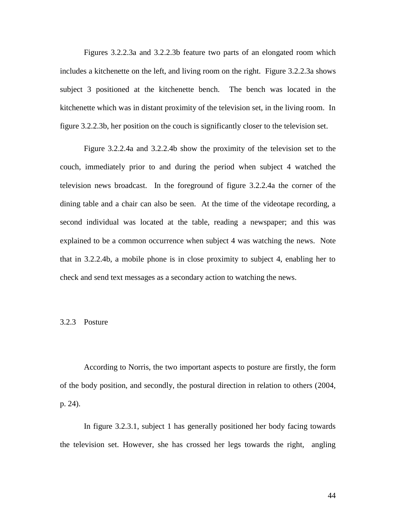Figures 3.2.2.3a and 3.2.2.3b feature two parts of an elongated room which includes a kitchenette on the left, and living room on the right. Figure 3.2.2.3a shows subject 3 positioned at the kitchenette bench. The bench was located in the kitchenette which was in distant proximity of the television set, in the living room. In figure 3.2.2.3b, her position on the couch is significantly closer to the television set.

Figure 3.2.2.4a and 3.2.2.4b show the proximity of the television set to the couch, immediately prior to and during the period when subject 4 watched the television news broadcast. In the foreground of figure 3.2.2.4a the corner of the dining table and a chair can also be seen. At the time of the videotape recording, a second individual was located at the table, reading a newspaper; and this was explained to be a common occurrence when subject 4 was watching the news. Note that in 3.2.2.4b, a mobile phone is in close proximity to subject 4, enabling her to check and send text messages as a secondary action to watching the news.

### 3.2.3 Posture

According to Norris, the two important aspects to posture are firstly, the form of the body position, and secondly, the postural direction in relation to others (2004, p. 24).

In figure 3.2.3.1, subject 1 has generally positioned her body facing towards the television set. However, she has crossed her legs towards the right, angling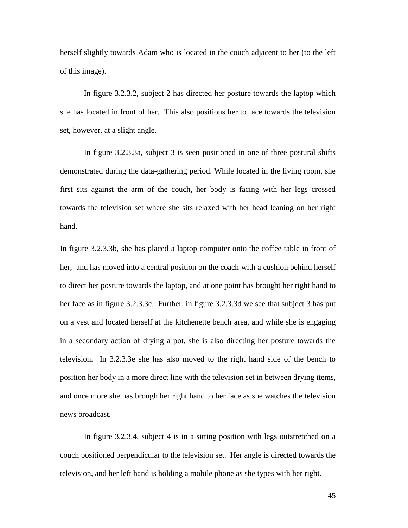herself slightly towards Adam who is located in the couch adjacent to her (to the left of this image).

In figure 3.2.3.2, subject 2 has directed her posture towards the laptop which she has located in front of her. This also positions her to face towards the television set, however, at a slight angle.

In figure 3.2.3.3a, subject 3 is seen positioned in one of three postural shifts demonstrated during the data-gathering period. While located in the living room, she first sits against the arm of the couch, her body is facing with her legs crossed towards the television set where she sits relaxed with her head leaning on her right hand.

In figure 3.2.3.3b, she has placed a laptop computer onto the coffee table in front of her, and has moved into a central position on the coach with a cushion behind herself to direct her posture towards the laptop, and at one point has brought her right hand to her face as in figure 3.2.3.3c. Further, in figure 3.2.3.3d we see that subject 3 has put on a vest and located herself at the kitchenette bench area, and while she is engaging in a secondary action of drying a pot, she is also directing her posture towards the television. In 3.2.3.3e she has also moved to the right hand side of the bench to position her body in a more direct line with the television set in between drying items, and once more she has brough her right hand to her face as she watches the television news broadcast.

In figure 3.2.3.4, subject 4 is in a sitting position with legs outstretched on a couch positioned perpendicular to the television set. Her angle is directed towards the television, and her left hand is holding a mobile phone as she types with her right.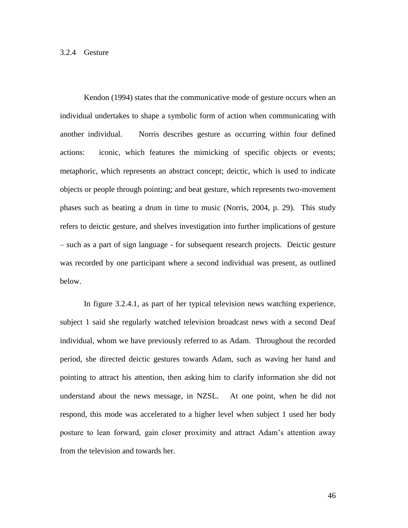Kendon (1994) states that the communicative mode of gesture occurs when an individual undertakes to shape a symbolic form of action when communicating with another individual. Norris describes gesture as occurring within four defined actions: iconic, which features the mimicking of specific objects or events; metaphoric, which represents an abstract concept; deictic, which is used to indicate objects or people through pointing; and beat gesture, which represents two-movement phases such as beating a drum in time to music (Norris, 2004, p. 29). This study refers to deictic gesture, and shelves investigation into further implications of gesture – such as a part of sign language - for subsequent research projects. Deictic gesture was recorded by one participant where a second individual was present, as outlined below.

In figure 3.2.4.1, as part of her typical television news watching experience, subject 1 said she regularly watched television broadcast news with a second Deaf individual, whom we have previously referred to as Adam. Throughout the recorded period, she directed deictic gestures towards Adam, such as waving her hand and pointing to attract his attention, then asking him to clarify information she did not understand about the news message, in NZSL. At one point, when he did not respond, this mode was accelerated to a higher level when subject 1 used her body posture to lean forward, gain closer proximity and attract Adam"s attention away from the television and towards her.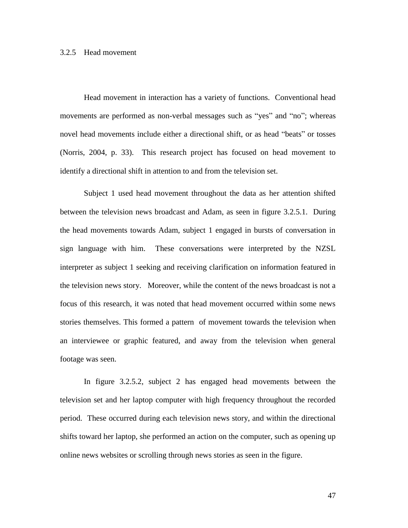#### 3.2.5 Head movement

Head movement in interaction has a variety of functions. Conventional head movements are performed as non-verbal messages such as "yes" and "no"; whereas novel head movements include either a directional shift, or as head "beats" or tosses (Norris, 2004, p. 33). This research project has focused on head movement to identify a directional shift in attention to and from the television set.

Subject 1 used head movement throughout the data as her attention shifted between the television news broadcast and Adam, as seen in figure 3.2.5.1. During the head movements towards Adam, subject 1 engaged in bursts of conversation in sign language with him. These conversations were interpreted by the NZSL interpreter as subject 1 seeking and receiving clarification on information featured in the television news story. Moreover, while the content of the news broadcast is not a focus of this research, it was noted that head movement occurred within some news stories themselves. This formed a pattern of movement towards the television when an interviewee or graphic featured, and away from the television when general footage was seen.

In figure 3.2.5.2, subject 2 has engaged head movements between the television set and her laptop computer with high frequency throughout the recorded period. These occurred during each television news story, and within the directional shifts toward her laptop, she performed an action on the computer, such as opening up online news websites or scrolling through news stories as seen in the figure.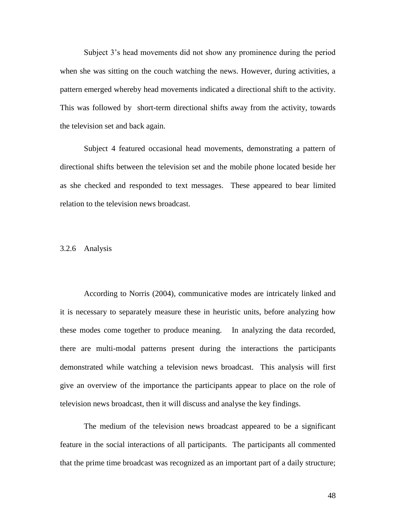Subject 3"s head movements did not show any prominence during the period when she was sitting on the couch watching the news. However, during activities, a pattern emerged whereby head movements indicated a directional shift to the activity. This was followed by short-term directional shifts away from the activity, towards the television set and back again.

Subject 4 featured occasional head movements, demonstrating a pattern of directional shifts between the television set and the mobile phone located beside her as she checked and responded to text messages. These appeared to bear limited relation to the television news broadcast.

#### 3.2.6 Analysis

According to Norris (2004), communicative modes are intricately linked and it is necessary to separately measure these in heuristic units, before analyzing how these modes come together to produce meaning. In analyzing the data recorded, there are multi-modal patterns present during the interactions the participants demonstrated while watching a television news broadcast. This analysis will first give an overview of the importance the participants appear to place on the role of television news broadcast, then it will discuss and analyse the key findings.

The medium of the television news broadcast appeared to be a significant feature in the social interactions of all participants. The participants all commented that the prime time broadcast was recognized as an important part of a daily structure;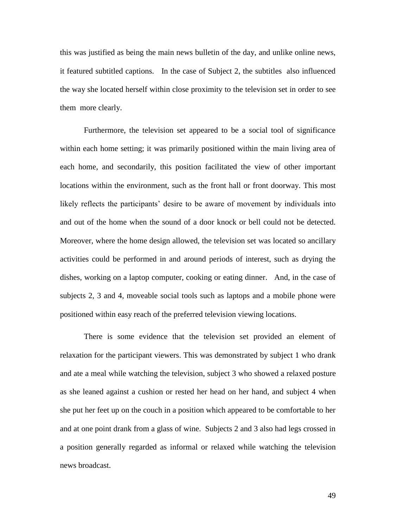this was justified as being the main news bulletin of the day, and unlike online news, it featured subtitled captions. In the case of Subject 2, the subtitles also influenced the way she located herself within close proximity to the television set in order to see them more clearly.

Furthermore, the television set appeared to be a social tool of significance within each home setting; it was primarily positioned within the main living area of each home, and secondarily, this position facilitated the view of other important locations within the environment, such as the front hall or front doorway. This most likely reflects the participants' desire to be aware of movement by individuals into and out of the home when the sound of a door knock or bell could not be detected. Moreover, where the home design allowed, the television set was located so ancillary activities could be performed in and around periods of interest, such as drying the dishes, working on a laptop computer, cooking or eating dinner. And, in the case of subjects 2, 3 and 4, moveable social tools such as laptops and a mobile phone were positioned within easy reach of the preferred television viewing locations.

There is some evidence that the television set provided an element of relaxation for the participant viewers. This was demonstrated by subject 1 who drank and ate a meal while watching the television, subject 3 who showed a relaxed posture as she leaned against a cushion or rested her head on her hand, and subject 4 when she put her feet up on the couch in a position which appeared to be comfortable to her and at one point drank from a glass of wine. Subjects 2 and 3 also had legs crossed in a position generally regarded as informal or relaxed while watching the television news broadcast.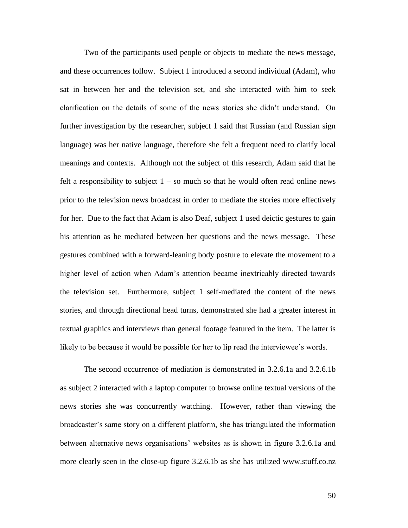Two of the participants used people or objects to mediate the news message, and these occurrences follow. Subject 1 introduced a second individual (Adam), who sat in between her and the television set, and she interacted with him to seek clarification on the details of some of the news stories she didn"t understand. On further investigation by the researcher, subject 1 said that Russian (and Russian sign language) was her native language, therefore she felt a frequent need to clarify local meanings and contexts. Although not the subject of this research, Adam said that he felt a responsibility to subject  $1 - so$  much so that he would often read online news prior to the television news broadcast in order to mediate the stories more effectively for her. Due to the fact that Adam is also Deaf, subject 1 used deictic gestures to gain his attention as he mediated between her questions and the news message. These gestures combined with a forward-leaning body posture to elevate the movement to a higher level of action when Adam"s attention became inextricably directed towards the television set. Furthermore, subject 1 self-mediated the content of the news stories, and through directional head turns, demonstrated she had a greater interest in textual graphics and interviews than general footage featured in the item. The latter is likely to be because it would be possible for her to lip read the interviewee's words.

The second occurrence of mediation is demonstrated in 3.2.6.1a and 3.2.6.1b as subject 2 interacted with a laptop computer to browse online textual versions of the news stories she was concurrently watching. However, rather than viewing the broadcaster's same story on a different platform, she has triangulated the information between alternative news organisations" websites as is shown in figure 3.2.6.1a and more clearly seen in the close-up figure 3.2.6.1b as she has utilized www.stuff.co.nz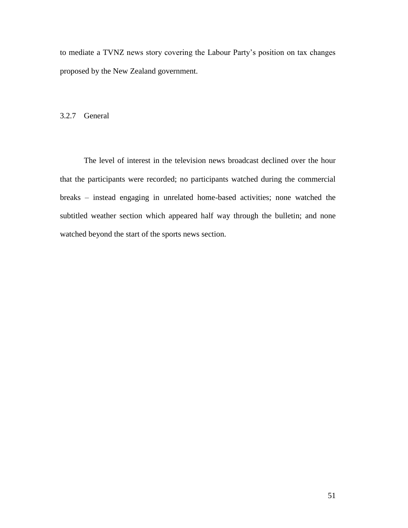to mediate a TVNZ news story covering the Labour Party"s position on tax changes proposed by the New Zealand government.

# 3.2.7 General

The level of interest in the television news broadcast declined over the hour that the participants were recorded; no participants watched during the commercial breaks – instead engaging in unrelated home-based activities; none watched the subtitled weather section which appeared half way through the bulletin; and none watched beyond the start of the sports news section.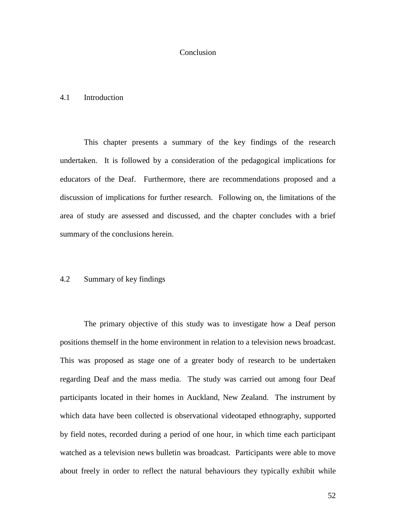# Conclusion

### 4.1 Introduction

This chapter presents a summary of the key findings of the research undertaken. It is followed by a consideration of the pedagogical implications for educators of the Deaf. Furthermore, there are recommendations proposed and a discussion of implications for further research. Following on, the limitations of the area of study are assessed and discussed, and the chapter concludes with a brief summary of the conclusions herein.

# 4.2 Summary of key findings

The primary objective of this study was to investigate how a Deaf person positions themself in the home environment in relation to a television news broadcast. This was proposed as stage one of a greater body of research to be undertaken regarding Deaf and the mass media. The study was carried out among four Deaf participants located in their homes in Auckland, New Zealand. The instrument by which data have been collected is observational videotaped ethnography, supported by field notes, recorded during a period of one hour, in which time each participant watched as a television news bulletin was broadcast. Participants were able to move about freely in order to reflect the natural behaviours they typically exhibit while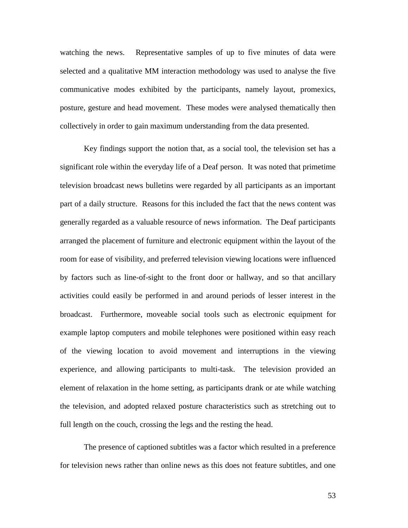watching the news. Representative samples of up to five minutes of data were selected and a qualitative MM interaction methodology was used to analyse the five communicative modes exhibited by the participants, namely layout, promexics, posture, gesture and head movement. These modes were analysed thematically then collectively in order to gain maximum understanding from the data presented.

Key findings support the notion that, as a social tool, the television set has a significant role within the everyday life of a Deaf person. It was noted that primetime television broadcast news bulletins were regarded by all participants as an important part of a daily structure. Reasons for this included the fact that the news content was generally regarded as a valuable resource of news information. The Deaf participants arranged the placement of furniture and electronic equipment within the layout of the room for ease of visibility, and preferred television viewing locations were influenced by factors such as line-of-sight to the front door or hallway, and so that ancillary activities could easily be performed in and around periods of lesser interest in the broadcast. Furthermore, moveable social tools such as electronic equipment for example laptop computers and mobile telephones were positioned within easy reach of the viewing location to avoid movement and interruptions in the viewing experience, and allowing participants to multi-task. The television provided an element of relaxation in the home setting, as participants drank or ate while watching the television, and adopted relaxed posture characteristics such as stretching out to full length on the couch, crossing the legs and the resting the head.

The presence of captioned subtitles was a factor which resulted in a preference for television news rather than online news as this does not feature subtitles, and one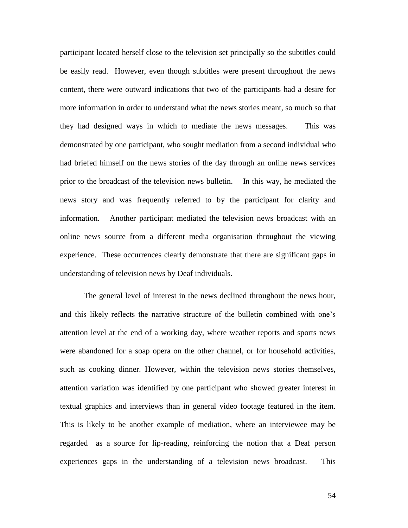participant located herself close to the television set principally so the subtitles could be easily read. However, even though subtitles were present throughout the news content, there were outward indications that two of the participants had a desire for more information in order to understand what the news stories meant, so much so that they had designed ways in which to mediate the news messages. This was demonstrated by one participant, who sought mediation from a second individual who had briefed himself on the news stories of the day through an online news services prior to the broadcast of the television news bulletin. In this way, he mediated the news story and was frequently referred to by the participant for clarity and information. Another participant mediated the television news broadcast with an online news source from a different media organisation throughout the viewing experience. These occurrences clearly demonstrate that there are significant gaps in understanding of television news by Deaf individuals.

The general level of interest in the news declined throughout the news hour, and this likely reflects the narrative structure of the bulletin combined with one"s attention level at the end of a working day, where weather reports and sports news were abandoned for a soap opera on the other channel, or for household activities, such as cooking dinner. However, within the television news stories themselves, attention variation was identified by one participant who showed greater interest in textual graphics and interviews than in general video footage featured in the item. This is likely to be another example of mediation, where an interviewee may be regarded as a source for lip-reading, reinforcing the notion that a Deaf person experiences gaps in the understanding of a television news broadcast. This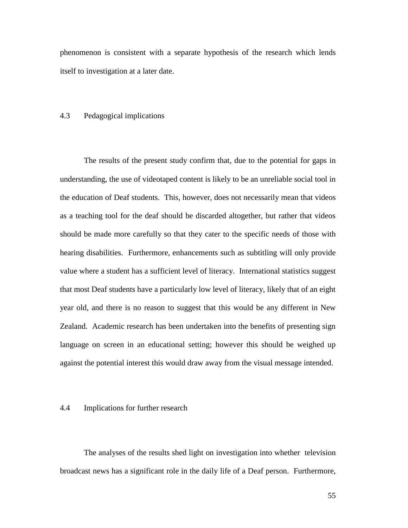phenomenon is consistent with a separate hypothesis of the research which lends itself to investigation at a later date.

### 4.3 Pedagogical implications

The results of the present study confirm that, due to the potential for gaps in understanding, the use of videotaped content is likely to be an unreliable social tool in the education of Deaf students. This, however, does not necessarily mean that videos as a teaching tool for the deaf should be discarded altogether, but rather that videos should be made more carefully so that they cater to the specific needs of those with hearing disabilities. Furthermore, enhancements such as subtitling will only provide value where a student has a sufficient level of literacy. International statistics suggest that most Deaf students have a particularly low level of literacy, likely that of an eight year old, and there is no reason to suggest that this would be any different in New Zealand. Academic research has been undertaken into the benefits of presenting sign language on screen in an educational setting; however this should be weighed up against the potential interest this would draw away from the visual message intended.

### 4.4 Implications for further research

The analyses of the results shed light on investigation into whether television broadcast news has a significant role in the daily life of a Deaf person. Furthermore,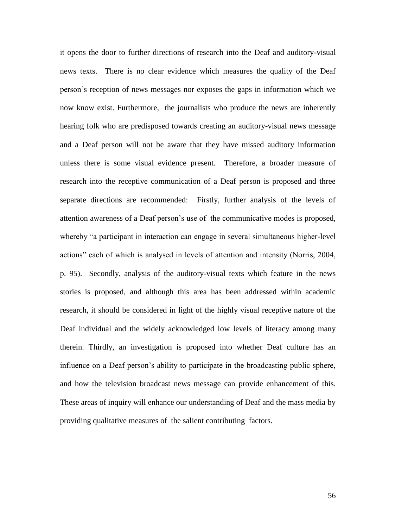it opens the door to further directions of research into the Deaf and auditory-visual news texts. There is no clear evidence which measures the quality of the Deaf person"s reception of news messages nor exposes the gaps in information which we now know exist. Furthermore, the journalists who produce the news are inherently hearing folk who are predisposed towards creating an auditory-visual news message and a Deaf person will not be aware that they have missed auditory information unless there is some visual evidence present. Therefore, a broader measure of research into the receptive communication of a Deaf person is proposed and three separate directions are recommended: Firstly, further analysis of the levels of attention awareness of a Deaf person"s use of the communicative modes is proposed, whereby "a participant in interaction can engage in several simultaneous higher-level actions" each of which is analysed in levels of attention and intensity (Norris, 2004, p. 95). Secondly, analysis of the auditory-visual texts which feature in the news stories is proposed, and although this area has been addressed within academic research, it should be considered in light of the highly visual receptive nature of the Deaf individual and the widely acknowledged low levels of literacy among many therein. Thirdly, an investigation is proposed into whether Deaf culture has an influence on a Deaf person"s ability to participate in the broadcasting public sphere, and how the television broadcast news message can provide enhancement of this. These areas of inquiry will enhance our understanding of Deaf and the mass media by providing qualitative measures of the salient contributing factors.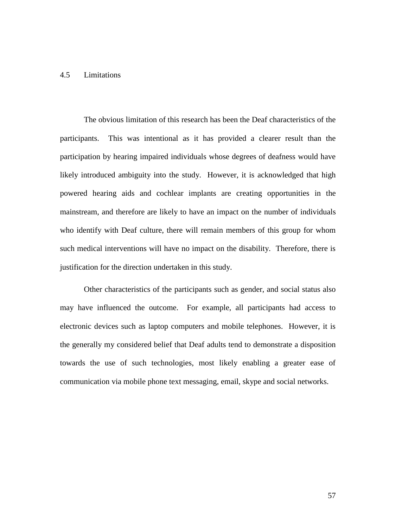# 4.5 Limitations

The obvious limitation of this research has been the Deaf characteristics of the participants. This was intentional as it has provided a clearer result than the participation by hearing impaired individuals whose degrees of deafness would have likely introduced ambiguity into the study. However, it is acknowledged that high powered hearing aids and cochlear implants are creating opportunities in the mainstream, and therefore are likely to have an impact on the number of individuals who identify with Deaf culture, there will remain members of this group for whom such medical interventions will have no impact on the disability. Therefore, there is justification for the direction undertaken in this study.

Other characteristics of the participants such as gender, and social status also may have influenced the outcome. For example, all participants had access to electronic devices such as laptop computers and mobile telephones. However, it is the generally my considered belief that Deaf adults tend to demonstrate a disposition towards the use of such technologies, most likely enabling a greater ease of communication via mobile phone text messaging, email, skype and social networks.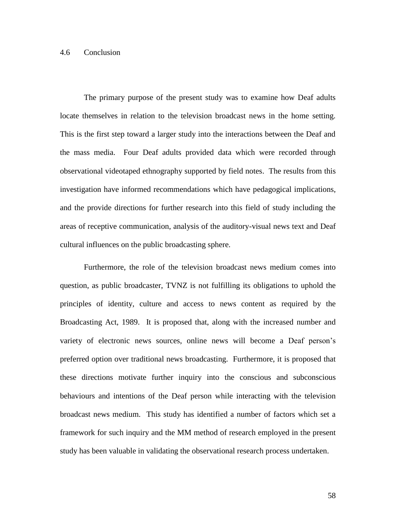# 4.6 Conclusion

The primary purpose of the present study was to examine how Deaf adults locate themselves in relation to the television broadcast news in the home setting. This is the first step toward a larger study into the interactions between the Deaf and the mass media. Four Deaf adults provided data which were recorded through observational videotaped ethnography supported by field notes. The results from this investigation have informed recommendations which have pedagogical implications, and the provide directions for further research into this field of study including the areas of receptive communication, analysis of the auditory-visual news text and Deaf cultural influences on the public broadcasting sphere.

Furthermore, the role of the television broadcast news medium comes into question, as public broadcaster, TVNZ is not fulfilling its obligations to uphold the principles of identity, culture and access to news content as required by the Broadcasting Act, 1989. It is proposed that, along with the increased number and variety of electronic news sources, online news will become a Deaf person"s preferred option over traditional news broadcasting. Furthermore, it is proposed that these directions motivate further inquiry into the conscious and subconscious behaviours and intentions of the Deaf person while interacting with the television broadcast news medium. This study has identified a number of factors which set a framework for such inquiry and the MM method of research employed in the present study has been valuable in validating the observational research process undertaken.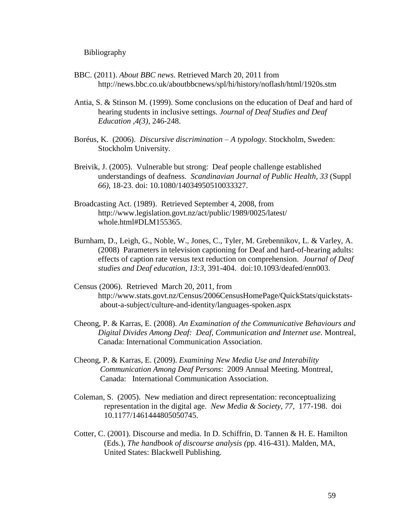Bibliography

- BBC. (2011). *About BBC news*. Retrieved March 20, 2011 from http://news.bbc.co.uk/aboutbbcnews/spl/hi/history/noflash/html/1920s.stm
- Antia, S. & Stinson M. (1999). Some conclusions on the education of Deaf and hard of hearing students in inclusive settings. *Journal of Deaf Studies and Deaf Education ,4(3),* 246-248.
- Boréus, K. (2006). *Discursive discrimination – A typology.* Stockholm, Sweden: Stockholm University.
- Breivik, J. (2005). Vulnerable but strong: Deaf people challenge established understandings of deafness. *Scandinavian Journal of Public Health, 33* (Suppl *66)*, 18-23. doi: 10.1080/14034950510033327.
- Broadcasting Act. (1989). Retrieved September 4, 2008, from http://www.legislation.govt.nz/act/public/1989/0025/latest/ whole.html#DLM155365.
- Burnham, D., Leigh, G., Noble, W., Jones, C., Tyler, M. Grebennikov, L. & Varley, A. (2008) Parameters in television captioning for Deaf and hard-of-hearing adults: effects of caption rate versus text reduction on comprehension. *Journal of Deaf studies and Deaf education*, *13:3,* 391-404. doi:10.1093/deafed/enn003.
- Census (2006). Retrieved March 20, 2011, from http://www.stats.govt.nz/Census/2006CensusHomePage/QuickStats/quickstats about-a-subject/culture-and-identity/languages-spoken.aspx
- Cheong, P. & Karras, E. (2008). *An Examination of the Communicative Behaviours and Digital Divides Among Deaf: Deaf, Communication and Internet use.* Montreal, Canada: International Communication Association.
- Cheong, P. & Karras, E. (2009). *Examining New Media Use and Interability Communication Among Deaf Persons*: 2009 Annual Meeting. Montreal, Canada: International Communication Association.
- Coleman, S. (2005). New mediation and direct representation: reconceptualizing representation in the digital age. *New Media & Society, 77,* 177-198. doi 10.1177/1461444805050745.
- Cotter, C. (2001). Discourse and media. In D. Schiffrin, D. Tannen & H. E. Hamilton (Eds.), *The handbook of discourse analysis (*pp. 416-431). Malden, MA, United States: Blackwell Publishing.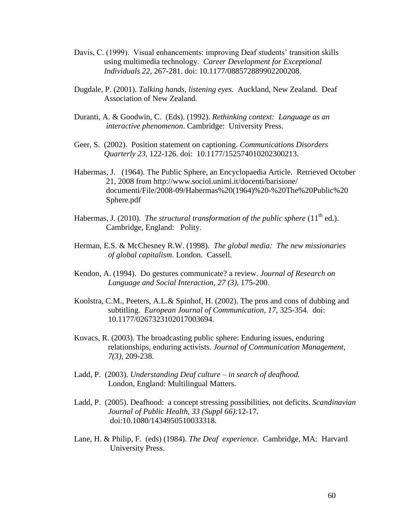- Davis, C. (1999). Visual enhancements: improving Deaf students' transition skills using multimedia technology. *Career Development for Exceptional Individuals 22*, 267-281. doi: 10.1177/088572889902200208.
- Dugdale, P. (2001). *Talking hands, listening eyes*. Auckland, New Zealand. Deaf Association of New Zealand.
- Duranti, A. & Goodwin, C. (Eds). (1992). *Rethinking context: Language as an interactive phenomenon*. Cambridge: University Press.
- Geer, S. (2002). Position statement on captioning. *Communications Disorders Quarterly 23,* 122-126. doi: 10.1177/152574010202300213.
- Habermas, J. (1964). The Public Sphere, an Encyclopaedia Article. Retrieved October 21, 2008 from http://www.sociol.unimi.it/docenti/barisione/ documenti/File/2008-09/Habermas%20(1964)%20-%20The%20Public%20 Sphere.pdf
- Habermas, J. (2010). *The structural transformation of the public sphere* (11<sup>th</sup> ed.). Cambridge, England: Polity.
- Herman, E.S. & McChesney R.W. (1998). *The global media: The new missionaries of global capitalism*. London. Cassell.
- Kendon, A. (1994). Do gestures communicate? a review. *Journal of Research on Language and Social Interaction*, *27 (3),* 175-200.
- Koolstra, C.M., Peeters, A.L.& Spinhof, H. (2002). The pros and cons of dubbing and subtitling. *European Journal of Communication, 17*, 325-354. doi: 10.1177/0267323102017003694.
- Kovacs, R. (2003). The broadcasting public sphere: Enduring issues, enduring relationships, enduring activists. *Journal of Communication Management, 7(3),* 209-238.
- Ladd, P. (2003). *Understanding Deaf culture – in search of deafhood.*  London, England: Multilingual Matters.
- Ladd, P. (2005). Deafhood: a concept stressing possibilities, not deficits. *Scandinavian Journal of Public Health, 33 (Suppl 66):*12-17. doi:10.1080/1434950510033318.
- Lane, H. & Philip, F. (eds) (1984). *The Deaf experience*. Cambridge, MA: Harvard University Press.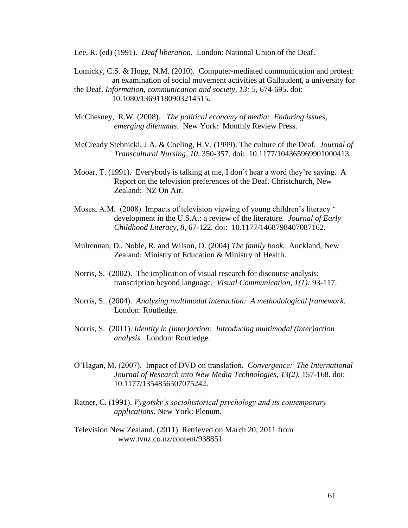Lee, R. (ed) (1991). *Deaf liberation*. London: National Union of the Deaf.

- Lomicky, C.S. & Hogg, N.M. (2010). Computer-mediated communication and protest: an examination of social movement activities at Gallaudent, a university for the Deaf. *Information, communication and society, 13: 5*, 674-695. doi: 10.1080/13691180903214515.
- McChesney, R.W. (2008). *The political economy of media: Enduring issues, emerging dilemmas*. New York: Monthly Review Press.
- McCready Stebnicki, J.A. & Coeling, H.V. (1999). The culture of the Deaf. *Journal of Transcultural Nursing, 10*, 350-357. doi: 10.1177/104365969901000413.
- Mooar, T. (1991). Everybody is talking at me, I don"t hear a word they"re saying. A Report on the television preferences of the Deaf. Christchurch, New Zealand: NZ On Air.
- Moses, A.M. (2008). Impacts of television viewing of young children's literacy ' development in the U.S.A.: a review of the literature. *Journal of Early Childhood Literacy, 8,* 67-122*.* doi: 10.1177/1468798407087162.
- Mulrennan, D., Noble, R. and Wilson, O. (2004) *The family book.* Auckland, New Zealand: Ministry of Education & Ministry of Health.
- Norris, S. (2002). The implication of visual research for discourse analysis: transcription beyond language. *Visual Communication, 1(1):* 93-117.
- Norris, S. (2004). *Analyzing multimodal interaction: A methodological framework*. London: Routledge.
- Norris, S. (2011). *Identity in (inter)action: Introducing multimodal (inter)action analysis.* London: Routledge.
- O"Hagan, M. (2007). Impact of DVD on translation. *Convergence: The International Journal of Research into New Media Technologies, 13(2).* 157-168. doi: 10.1177/1354856507075242.
- Ratner, C. (1991). *Vygotsky's sociohistorical psychology and its contemporary applications.* New York: Plenum.
- Television New Zealand. (2011) Retrieved on March 20, 2011 from www.tvnz.co.nz/content/938851